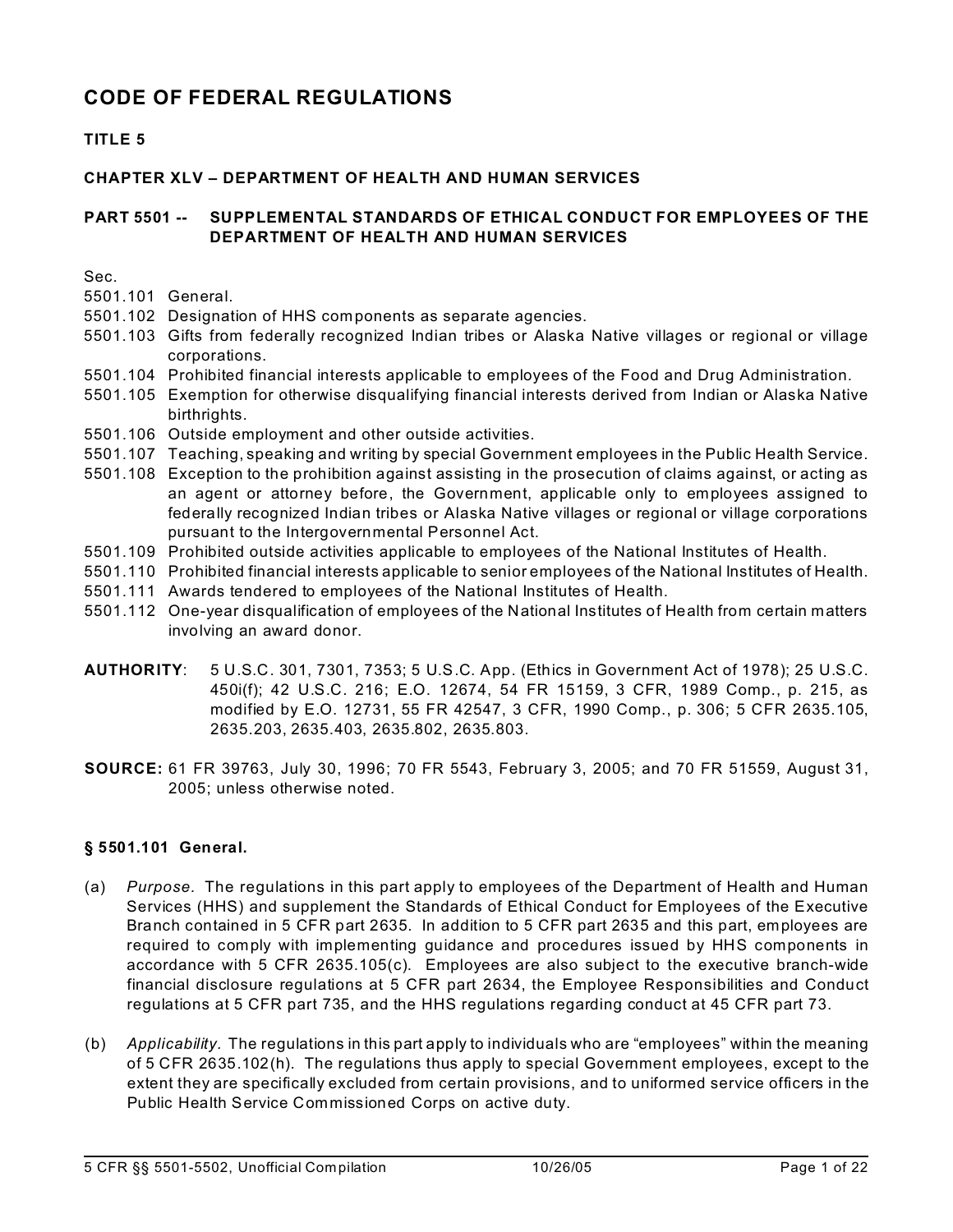# **CODE OF FEDERAL REGULATIONS**

# **TITLE 5**

## **CHAPTER XLV – DEPARTMENT OF HEALTH AND HUMAN SERVICES**

### **PART 5501 -- SUPPLEMENTAL STANDARDS OF ETHICAL CONDUCT FOR EMPLOYEES OF THE DEPARTMENT OF HEALTH AND HUMAN SERVICES**

Sec.

5501.101 General.

- 5501.102 Designation of HHS components as separate agencies.
- 5501.103 Gifts from federally recognized Indian tribes or Alaska Native villages or regional or village corporations.
- 5501.104 Prohibited financial interests applicable to employees of the Food and Drug Administration.
- 5501.105 Exemption for otherwise disqualifying financial interests derived from Indian or Alaska Native birthrights.
- 5501.106 Outside employment and other outside activities.
- 5501.107 Teaching, speaking and writing by special Government employees in the Public Health Service.
- 5501.108 Exception to the prohibition against assisting in the prosecution of claims against, or acting as an agent or attorney before, the Government, applicable only to employees assigned to federally recognized Indian tribes or Alaska Native villages or regional or village corporations pursuant to the Intergovernmental Personnel Act.
- 5501.109 Prohibited outside activities applicable to employees of the National Institutes of Health.
- 5501.110 Prohibited financial interests applicable to senior employees of the National Institutes of Health.
- 5501.111 Awards tendered to employees of the National Institutes of Health.
- 5501.112 One-year disqualification of employees of the National Institutes of Health from certain matters involving an award donor.
- **AUTHORITY**: 5 U.S.C. 301, 7301, 7353; 5 U.S.C. App. (Ethics in Government Act of 1978); 25 U.S.C. 450i(f); 42 U.S.C. 216; E.O. 12674, 54 FR 15159, 3 CFR, 1989 Comp., p. 215, as modified by E.O. 12731, 55 FR 42547, 3 CFR, 1990 Comp., p. 306; 5 CFR 2635.105, 2635.203, 2635.403, 2635.802, 2635.803.
- **SOURCE:** 61 FR 39763, July 30, 1996; 70 FR 5543, February 3, 2005; and 70 FR 51559, August 31, 2005; unless otherwise noted.

## **§ 5501.101 General.**

- (a) *Purpose.* The regulations in this part apply to employees of the Department of Health and Human Services (HHS) and supplement the Standards of Ethical Conduct for Employees of the Executive Branch contained in 5 CFR part 2635. In addition to 5 CFR part 2635 and this part, employees are required to comply with implementing guidance and procedures issued by HHS components in accordance with 5 CFR 2635.105(c). Employees are also subject to the executive branch-wide financial disclosure regulations at 5 CFR part 2634, the Employee Responsibilities and Conduct regulations at 5 CFR part 735, and the HHS regulations regarding conduct at 45 CFR part 73.
- (b) *Applicability.* The regulations in this part apply to individuals who are "employees" within the meaning of 5 CFR 2635.102(h). The regulations thus apply to special Government employees, except to the extent they are specifically excluded from certain provisions, and to uniformed service officers in the Public Health Service Commissioned Corps on active duty.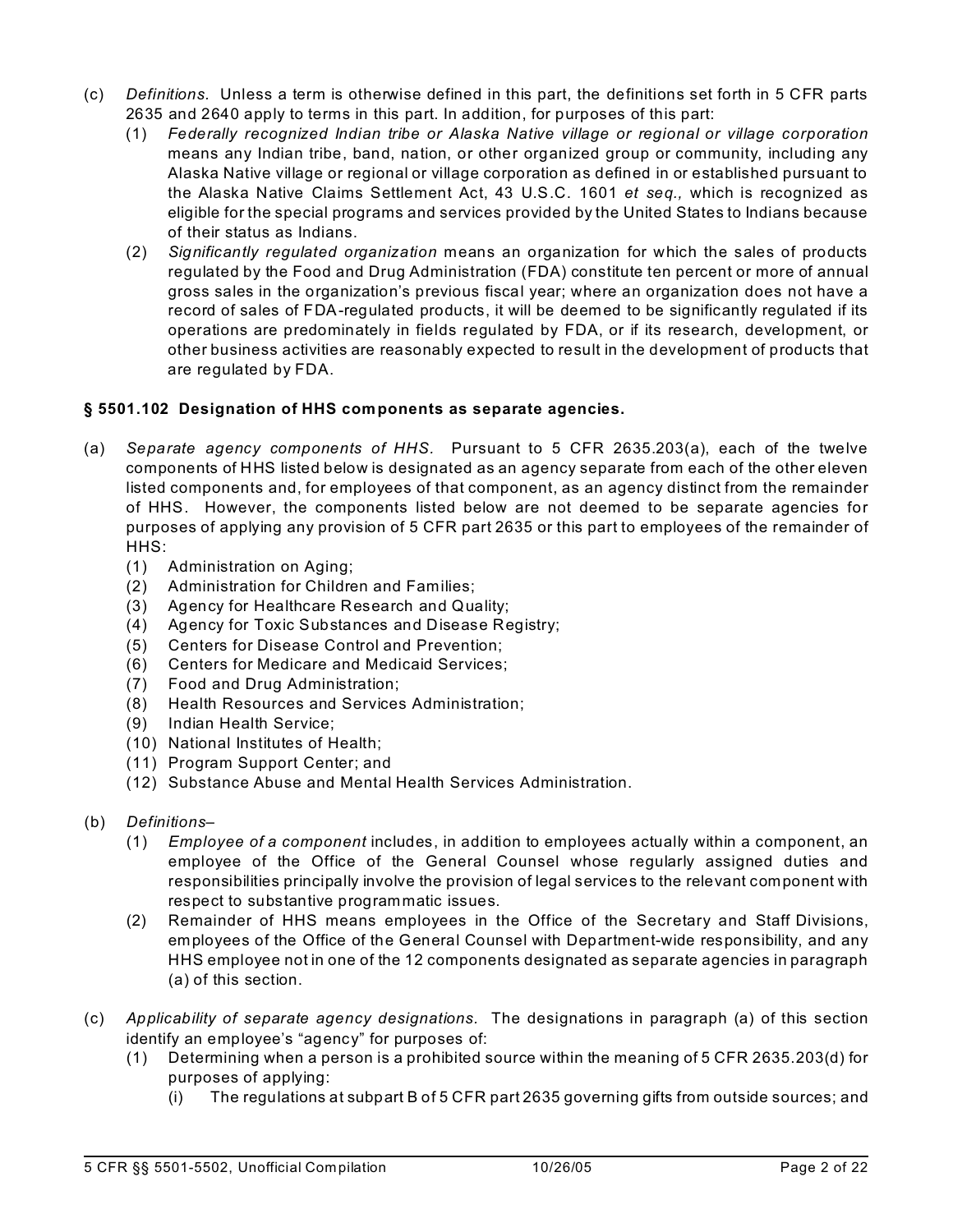- (c) *Definitions.* Unless a term is otherwise defined in this part, the definitions set forth in 5 CFR parts 2635 and 2640 apply to terms in this part. In addition, for purposes of this part:
	- (1) *Federally recognized Indian tribe or Alaska Native village or regional or village corporation*  means any Indian tribe, band, nation, or other organized group or community, including any Alaska Native village or regional or village corporation as defined in or established pursuant to the Alaska Native Claims Settlement Act, 43 U.S.C. 1601 *et seq.,* which is recognized as eligible for the special programs and services provided by the United States to Indians because of their status as Indians.
	- (2) *Significantly regulated organization* means an organization for which the sales of products regulated by the Food and Drug Administration (FDA) constitute ten percent or more of annual gross sales in the organization's previous fiscal year; where an organization does not have a record of sales of FDA-regulated products, it will be deemed to be significantly regulated if its operations are predominately in fields regulated by FDA, or if its research, development, or other business activities are reasonably expected to result in the development of products that are regulated by FDA.

### **§ 5501.102 Designation of HHS components as separate agencies.**

- (a) *Separate agency components of HHS.* Pursuant to 5 CFR 2635.203(a), each of the twelve components of HHS listed below is designated as an agency separate from each of the other eleven listed components and, for employees of that component, as an agency distinct from the remainder of HHS. However, the components listed below are not deemed to be separate agencies for purposes of applying any provision of 5 CFR part 2635 or this part to employees of the remainder of HHS:
	- (1) Administration on Aging;
	- (2) Administration for Children and Families;
	- (3) Agency for Healthcare Research and Quality;
	- (4) Agency for Toxic Substances and Disease Registry;
	- (5) Centers for Disease Control and Prevention;
	- (6) Centers for Medicare and Medicaid Services;
	- (7) Food and Drug Administration;
	- (8) Health Resources and Services Administration;
	- (9) Indian Health Service;
	- (10) National Institutes of Health;
	- (11) Program Support Center; and
	- (12) Substance Abuse and Mental Health Services Administration.
- (b) *Definitions*
	- (1) *Employee of a component* includes, in addition to employees actually within a component, an employee of the Office of the General Counsel whose regularly assigned duties and responsibilities principally involve the provision of legal services to the relevant component with respect to substantive programmatic issues.
	- (2) Remainder of HHS means employees in the Office of the Secretary and Staff Divisions, employees of the Office of the General Counsel with Department-wide responsibility, and any HHS employee not in one of the 12 components designated as separate agencies in paragraph (a) of this section.
- (c) *Applicability of separate agency designations.* The designations in paragraph (a) of this section identify an employee's "agency" for purposes of:
	- (1) Determining when a person is a prohibited source within the meaning of 5 CFR 2635.203(d) for purposes of applying:
		- (i) The regulations at subpart B of 5 CFR part 2635 governing gifts from outside sources; and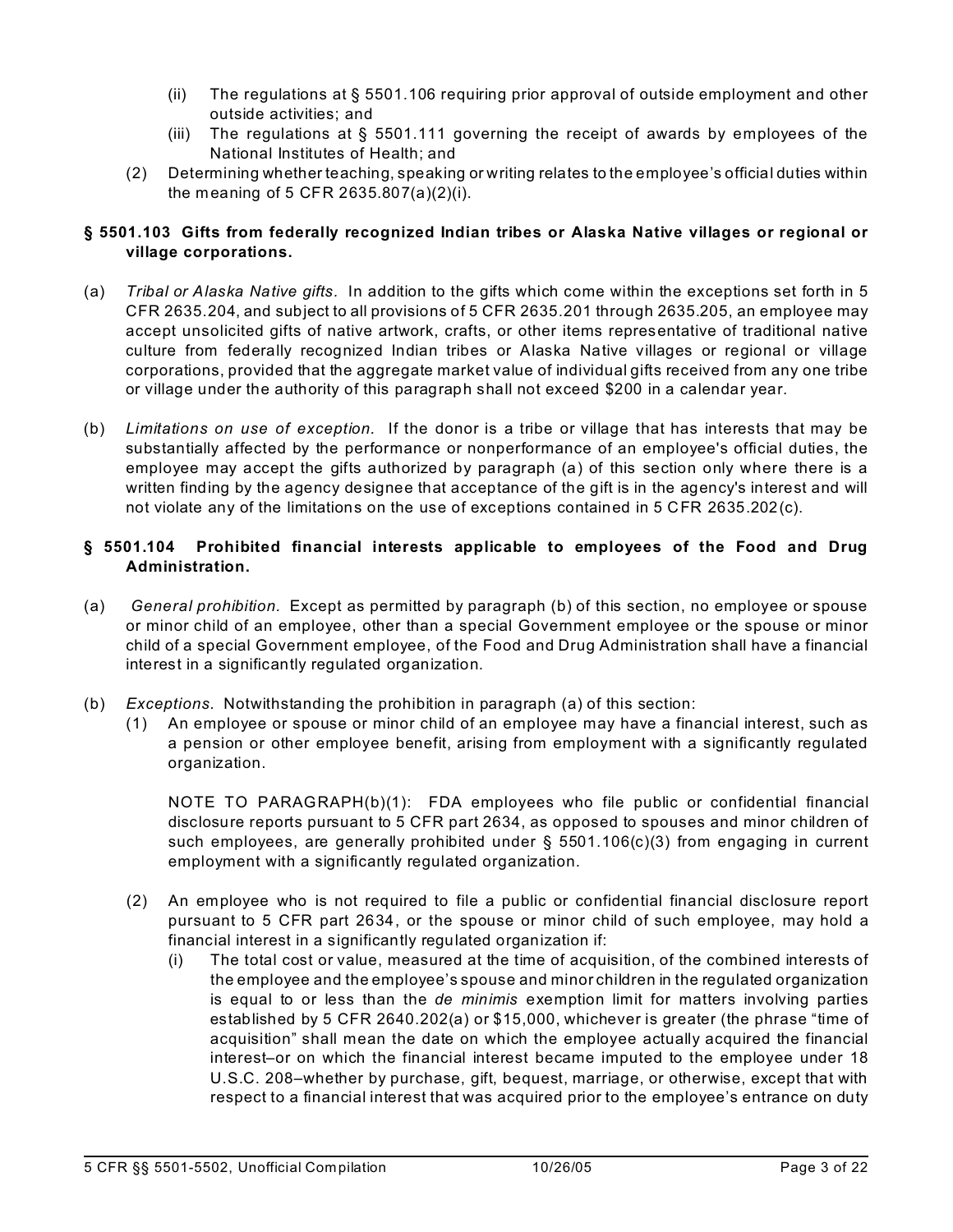- (ii) The regulations at  $\S 5501.106$  requiring prior approval of outside employment and other outside activities; and
- (iii) The regulations at  $\S$  5501.111 governing the receipt of awards by employees of the National Institutes of Health; and
- (2) Determining whether teaching, speaking or writing relates to the employee's official duties within the meaning of 5 CFR 2635.807(a)(2)(i).

## **§ 5501.103 Gifts from federally recognized Indian tribes or Alaska Native villages or regional or village corporations.**

- (a) *Tribal or Alaska Native gifts.* In addition to the gifts which come within the exceptions set forth in 5 CFR 2635.204, and subject to all provisions of 5 CFR 2635.201 through 2635.205, an employee may accept unsolicited gifts of native artwork, crafts, or other items representative of traditional native culture from federally recognized Indian tribes or Alaska Native villages or regional or village corporations, provided that the aggregate market value of individual gifts received from any one tribe or village under the authority of this paragraph shall not exceed \$200 in a calendar year.
- (b) *Limitations on use of exception.* If the donor is a tribe or village that has interests that may be substantially affected by the performance or nonperformance of an employee's official duties, the employee may accept the gifts authorized by paragraph (a) of this section only where there is a written finding by the agency designee that acceptance of the gift is in the agency's interest and will not violate any of the limitations on the use of exceptions contained in 5 CFR 2635.202(c).

## **§ 5501.104 Prohibited financial interests applicable to employees of the Food and Drug Administration.**

- (a)  *General prohibition.* Except as permitted by paragraph (b) of this section, no employee or spouse or minor child of an employee, other than a special Government employee or the spouse or minor child of a special Government employee, of the Food and Drug Administration shall have a financial interest in a significantly regulated organization.
- (b) *Exceptions.* Notwithstanding the prohibition in paragraph (a) of this section:
	- (1) An employee or spouse or minor child of an employee may have a financial interest, such as a pension or other employee benefit, arising from employment with a significantly regulated organization.

NOTE TO PARAGRAPH(b)(1): FDA employees who file public or confidential financial disclosure reports pursuant to 5 CFR part 2634, as opposed to spouses and minor children of such employees, are generally prohibited under  $\S$  5501.106(c)(3) from engaging in current employment with a significantly regulated organization.

- (2) An employee who is not required to file a public or confidential financial disclosure report pursuant to 5 CFR part 2634, or the spouse or minor child of such employee, may hold a financial interest in a significantly regulated organization if:
	- (i) The total cost or value, measured at the time of acquisition, of the combined interests of the employee and the employee's spouse and minor children in the regulated organization is equal to or less than the *de minimis* exemption limit for matters involving parties established by 5 CFR 2640.202(a) or \$15,000, whichever is greater (the phrase "time of acquisition" shall mean the date on which the employee actually acquired the financial interest–or on which the financial interest became imputed to the employee under 18 U.S.C. 208–whether by purchase, gift, bequest, marriage, or otherwise, except that with respect to a financial interest that was acquired prior to the employee's entrance on duty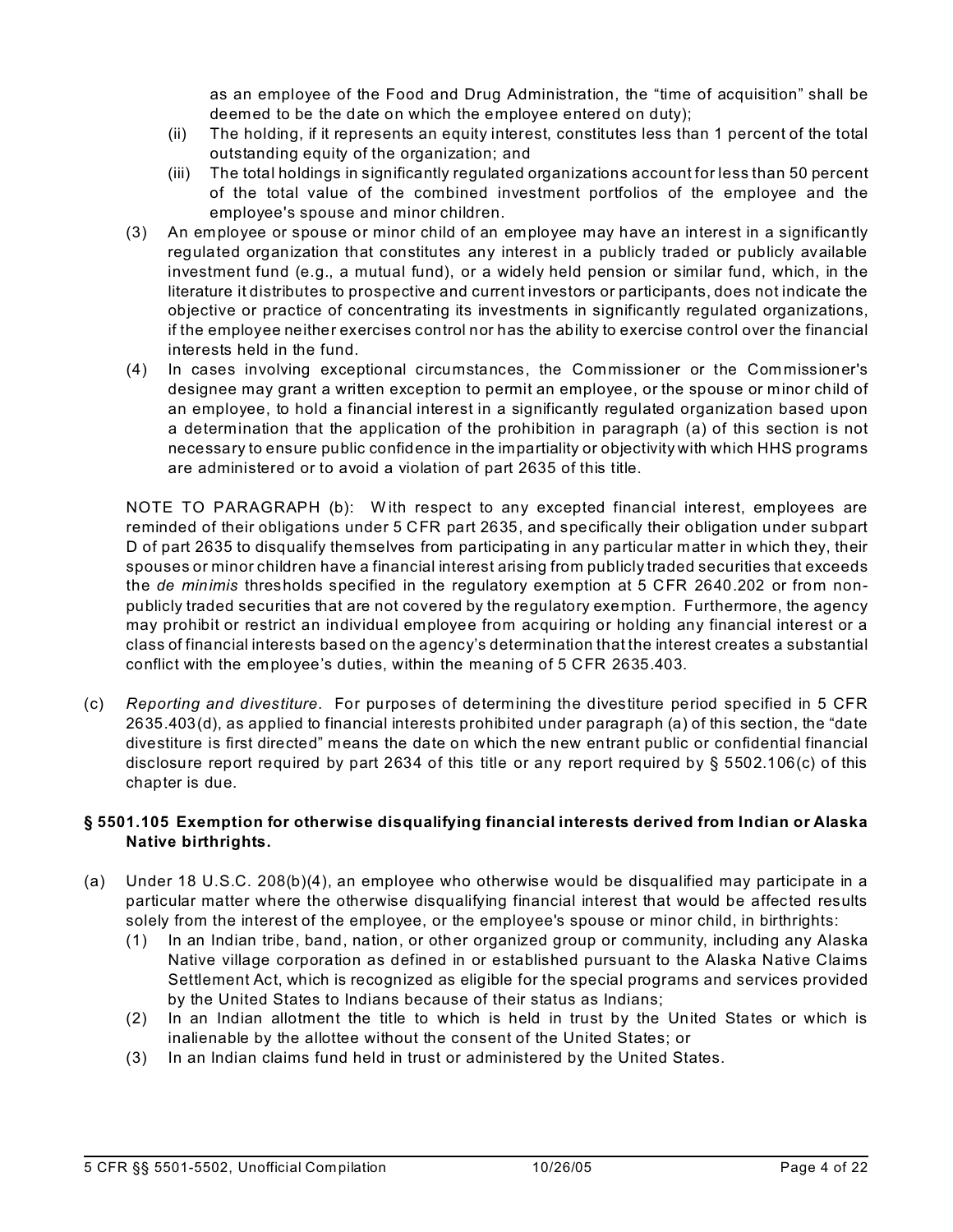as an employee of the Food and Drug Administration, the "time of acquisition" shall be deemed to be the date on which the employee entered on duty);

- (ii) The holding, if it represents an equity interest, constitutes less than 1 percent of the total outstanding equity of the organization; and
- (iii) The total holdings in significantly regulated organizations account for less than 50 percent of the total value of the combined investment portfolios of the employee and the employee's spouse and minor children.
- (3) An employee or spouse or minor child of an employee may have an interest in a significantly regulated organization that constitutes any interest in a publicly traded or publicly available investment fund (e.g., a mutual fund), or a widely held pension or similar fund, which, in the literature it distributes to prospective and current investors or participants, does not indicate the objective or practice of concentrating its investments in significantly regulated organizations, if the employee neither exercises control nor has the ability to exercise control over the financial interests held in the fund.
- (4) In cases involving exceptional circumstances, the Commissioner or the Commissioner's designee may grant a written exception to permit an employee, or the spouse or minor child of an employee, to hold a financial interest in a significantly regulated organization based upon a determination that the application of the prohibition in paragraph (a) of this section is not necessary to ensure public confidence in the impartiality or objectivity with which HHS programs are administered or to avoid a violation of part 2635 of this title.

NOTE TO PARAGRAPH (b): W ith respect to any excepted financial interest, employees are reminded of their obligations under 5 CFR part 2635, and specifically their obligation under subpart D of part 2635 to disqualify themselves from participating in any particular matter in which they, their spouses or minor children have a financial interest arising from publicly traded securities that exceeds the *de minimis* thresholds specified in the regulatory exemption at 5 CFR 2640.202 or from nonpublicly traded securities that are not covered by the regulatory exemption. Furthermore, the agency may prohibit or restrict an individual employee from acquiring or holding any financial interest or a class of financial interests based on the agency's determination that the interest creates a substantial conflict with the employee's duties, within the meaning of 5 CFR 2635.403.

(c) *Reporting and divestiture*. For purposes of determining the divestiture period specified in 5 CFR 2635.403(d), as applied to financial interests prohibited under paragraph (a) of this section, the "date divestiture is first directed" means the date on which the new entrant public or confidential financial disclosure report required by part 2634 of this title or any report required by § 5502.106(c) of this chapter is due.

### **§ 5501.105 Exemption for otherwise disqualifying financial interests derived from Indian or Alaska Native birthrights.**

- (a) Under 18 U.S.C. 208(b)(4), an employee who otherwise would be disqualified may participate in a particular matter where the otherwise disqualifying financial interest that would be affected results solely from the interest of the employee, or the employee's spouse or minor child, in birthrights:
	- (1) In an Indian tribe, band, nation, or other organized group or community, including any Alaska Native village corporation as defined in or established pursuant to the Alaska Native Claims Settlement Act, which is recognized as eligible for the special programs and services provided by the United States to Indians because of their status as Indians;
	- (2) In an Indian allotment the title to which is held in trust by the United States or which is inalienable by the allottee without the consent of the United States; or
	- (3) In an Indian claims fund held in trust or administered by the United States.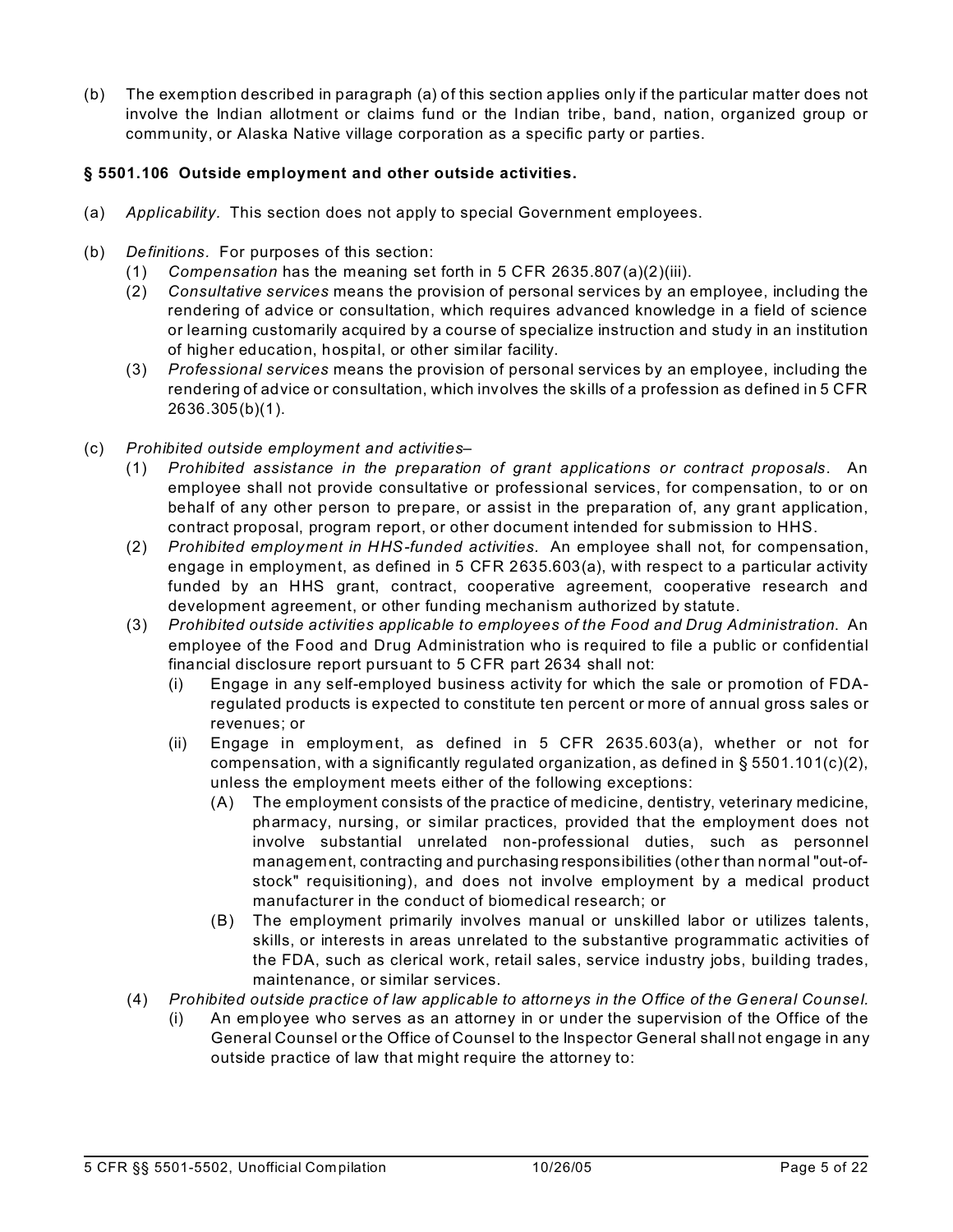(b) The exemption described in paragraph (a) of this section applies only if the particular matter does not involve the Indian allotment or claims fund or the Indian tribe, band, nation, organized group or community, or Alaska Native village corporation as a specific party or parties.

## **§ 5501.106 Outside employment and other outside activities.**

- (a) *Applicability.* This section does not apply to special Government employees.
- (b) *Definitions.* For purposes of this section:
	- (1) *Compensation* has the meaning set forth in 5 CFR 2635.807(a)(2)(iii).
	- (2) *Consultative services* means the provision of personal services by an employee, including the rendering of advice or consultation, which requires advanced knowledge in a field of science or learning customarily acquired by a course of specialize instruction and study in an institution of higher education, hospital, or other similar facility.
	- (3) *Professional services* means the provision of personal services by an employee, including the rendering of advice or consultation, which involves the skills of a profession as defined in 5 CFR 2636.305(b)(1).
- (c) *Prohibited outside employment and activities*
	- (1) *Prohibited assistance in the preparation of grant applications or contract proposals*. An employee shall not provide consultative or professional services, for compensation, to or on behalf of any other person to prepare, or assist in the preparation of, any grant application, contract proposal, program report, or other document intended for submission to HHS.
	- (2) *Prohibited employment in HHS-funded activities.* An employee shall not, for compensation, engage in employment, as defined in 5 CFR 2635.603(a), with respect to a particular activity funded by an HHS grant, contract, cooperative agreement, cooperative research and development agreement, or other funding mechanism authorized by statute.
	- (3) *Prohibited outside activities applicable to employees of the Food and Drug Administration*. An employee of the Food and Drug Administration who is required to file a public or confidential financial disclosure report pursuant to 5 CFR part 2634 shall not:
		- (i) Engage in any self-employed business activity for which the sale or promotion of FDAregulated products is expected to constitute ten percent or more of annual gross sales or revenues; or
		- (ii) Engage in employment, as defined in 5 CFR 2635.603(a), whether or not for compensation, with a significantly regulated organization, as defined in  $\S 5501.101(c)(2)$ , unless the employment meets either of the following exceptions:
			- (A) The employment consists of the practice of medicine, dentistry, veterinary medicine, pharmacy, nursing, or similar practices, provided that the employment does not involve substantial unrelated non-professional duties, such as personnel management, contracting and purchasing responsibilities (other than normal "out-ofstock" requisitioning), and does not involve employment by a medical product manufacturer in the conduct of biomedical research; or
			- (B) The employment primarily involves manual or unskilled labor or utilizes talents, skills, or interests in areas unrelated to the substantive programmatic activities of the FDA, such as clerical work, retail sales, service industry jobs, building trades, maintenance, or similar services.
	- (4) *Prohibited outside practice of law applicable to attorneys in the Office of the General Counsel.* 
		- (i) An employee who serves as an attorney in or under the supervision of the Office of the General Counsel or the Office of Counsel to the Inspector General shall not engage in any outside practice of law that might require the attorney to: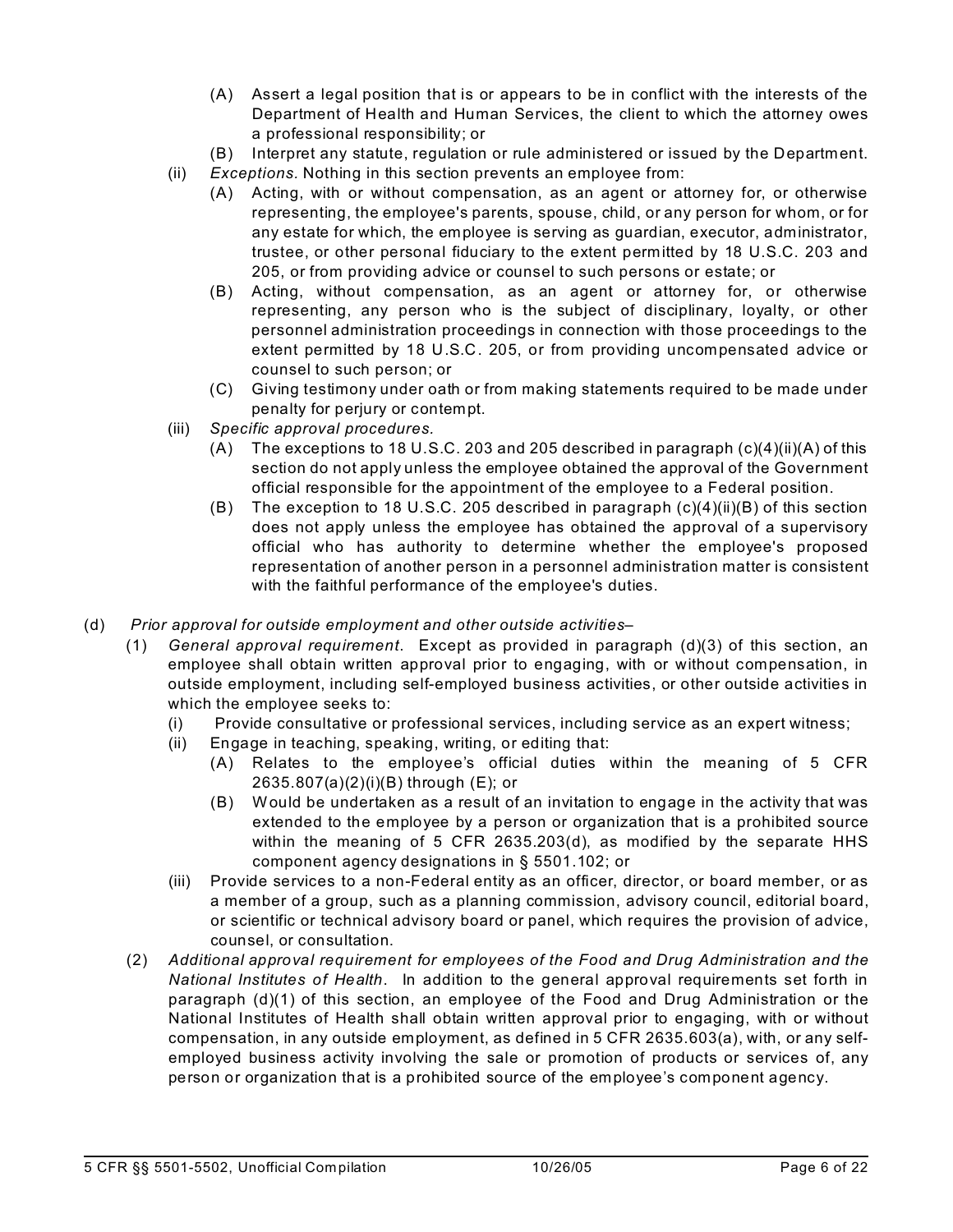- (A) Assert a legal position that is or appears to be in conflict with the interests of the Department of Health and Human Services, the client to which the attorney owes a professional responsibility; or
- (B) Interpret any statute, regulation or rule administered or issued by the Department.
- (ii) *Exceptions.* Nothing in this section prevents an employee from:
	- (A) Acting, with or without compensation, as an agent or attorney for, or otherwise representing, the employee's parents, spouse, child, or any person for whom, or for any estate for which, the employee is serving as guardian, executor, administrator, trustee, or other personal fiduciary to the extent permitted by 18 U.S.C. 203 and 205, or from providing advice or counsel to such persons or estate; or
	- (B) Acting, without compensation, as an agent or attorney for, or otherwise representing, any person who is the subject of disciplinary, loyalty, or other personnel administration proceedings in connection with those proceedings to the extent permitted by 18 U.S.C. 205, or from providing uncompensated advice or counsel to such person; or
	- (C) Giving testimony under oath or from making statements required to be made under penalty for perjury or contempt.
- (iii) *Specific approval procedures.* 
	- (A) The exceptions to 18 U.S.C. 203 and 205 described in paragraph  $(c)(4)(ii)(A)$  of this section do not apply unless the employee obtained the approval of the Government official responsible for the appointment of the employee to a Federal position.
	- (B) The exception to 18 U.S.C. 205 described in paragraph  $(c)(4)(ii)(B)$  of this section does not apply unless the employee has obtained the approval of a supervisory official who has authority to determine whether the employee's proposed representation of another person in a personnel administration matter is consistent with the faithful performance of the employee's duties.
- (d) *Prior approval for outside employment and other outside activities*
	- (1) *General approval requirement*. Except as provided in paragraph (d)(3) of this section, an employee shall obtain written approval prior to engaging, with or without compensation, in outside employment, including self-employed business activities, or other outside activities in which the employee seeks to:
		- (i) Provide consultative or professional services, including service as an expert witness;
		- (ii) Engage in teaching, speaking, writing, or editing that:
			- (A) Relates to the employee's official duties within the meaning of 5 CFR 2635.807(a)(2)(i)(B) through (E); or
			- (B) Would be undertaken as a result of an invitation to engage in the activity that was extended to the employee by a person or organization that is a prohibited source within the meaning of 5 CFR 2635.203(d), as modified by the separate HHS component agency designations in § 5501.102; or
		- (iii) Provide services to a non-Federal entity as an officer, director, or board member, or as a member of a group, such as a planning commission, advisory council, editorial board, or scientific or technical advisory board or panel, which requires the provision of advice, counsel, or consultation.
	- (2) *Additional approval requirement for employees of the Food and Drug Administration and the National Institutes of Health*. In addition to the general approval requirements set forth in paragraph (d)(1) of this section, an employee of the Food and Drug Administration or the National Institutes of Health shall obtain written approval prior to engaging, with or without compensation, in any outside employment, as defined in 5 CFR 2635.603(a), with, or any selfemployed business activity involving the sale or promotion of products or services of, any person or organization that is a prohibited source of the employee's component agency.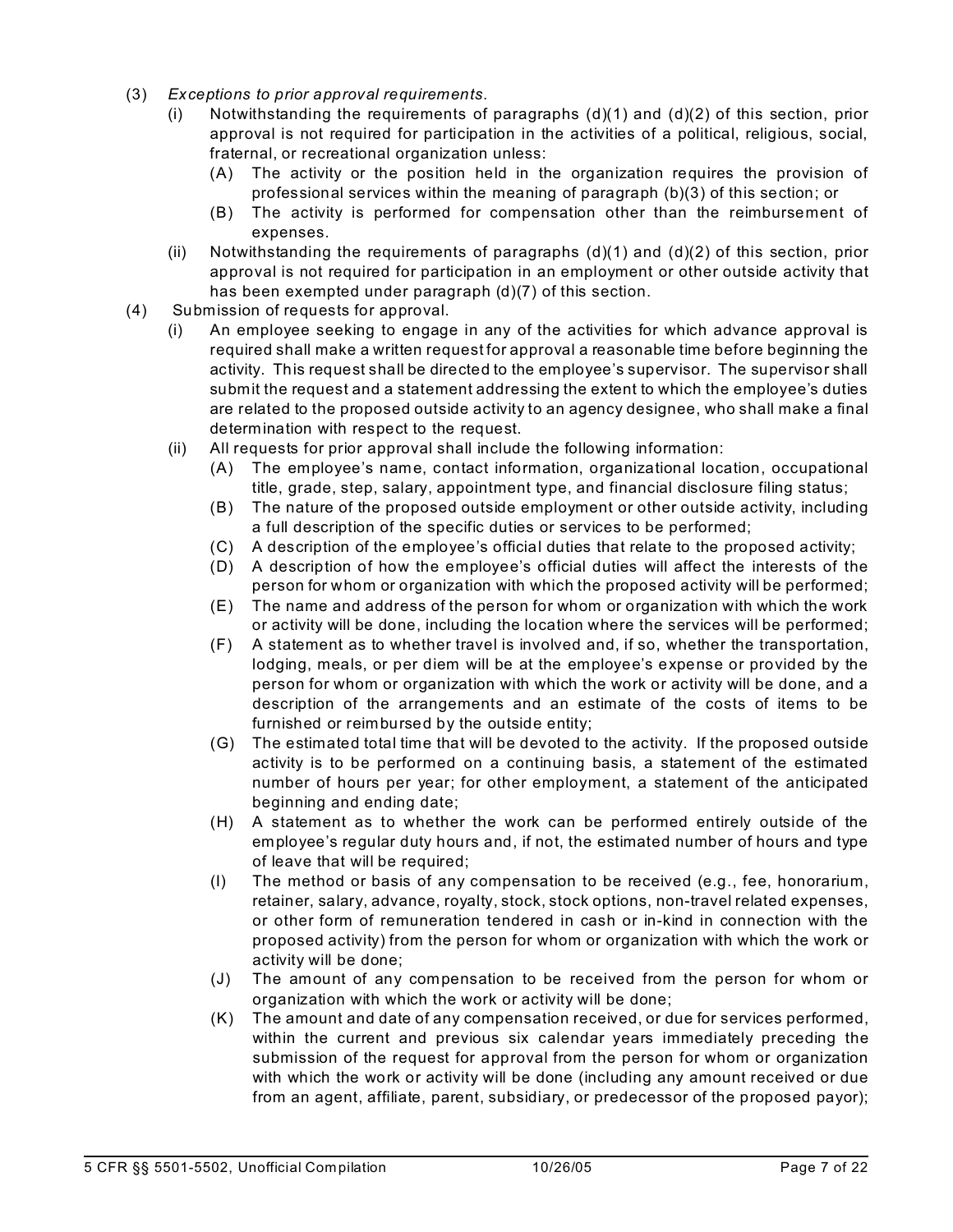- (3) *Exceptions to prior approval requirements*.
	- (i) Notwithstanding the requirements of paragraphs  $(d)(1)$  and  $(d)(2)$  of this section, prior approval is not required for participation in the activities of a political, religious, social, fraternal, or recreational organization unless:
		- (A) The activity or the position held in the organization requires the provision of professional services within the meaning of paragraph (b)(3) of this section; or
		- (B) The activity is performed for compensation other than the reimbursement of expenses.
	- (ii) Notwithstanding the requirements of paragraphs  $(d)(1)$  and  $(d)(2)$  of this section, prior approval is not required for participation in an employment or other outside activity that has been exempted under paragraph (d)(7) of this section.
- (4) Submission of requests for approval.
	- (i) An employee seeking to engage in any of the activities for which advance approval is required shall make a written request for approval a reasonable time before beginning the activity. This request shall be directed to the employee's supervisor. The supervisor shall submit the request and a statement addressing the extent to which the employee's duties are related to the proposed outside activity to an agency designee, who shall make a final determination with respect to the request.
	- (ii) All requests for prior approval shall include the following information:
		- (A) The employee's name, contact information, organizational location, occupational title, grade, step, salary, appointment type, and financial disclosure filing status;
		- (B) The nature of the proposed outside employment or other outside activity, including a full description of the specific duties or services to be performed;
		- (C) A description of the employee's official duties that relate to the proposed activity;
		- (D) A description of how the employee's official duties will affect the interests of the person for whom or organization with which the proposed activity will be performed;
		- (E) The name and address of the person for whom or organization with which the work or activity will be done, including the location where the services will be performed;
		- (F) A statement as to whether travel is involved and, if so, whether the transportation, lodging, meals, or per diem will be at the employee's expense or provided by the person for whom or organization with which the work or activity will be done, and a description of the arrangements and an estimate of the costs of items to be furnished or reimbursed by the outside entity;
		- (G) The estimated total time that will be devoted to the activity. If the proposed outside activity is to be performed on a continuing basis, a statement of the estimated number of hours per year; for other employment, a statement of the anticipated beginning and ending date;
		- (H) A statement as to whether the work can be performed entirely outside of the employee's regular duty hours and, if not, the estimated number of hours and type of leave that will be required;
		- (I) The method or basis of any compensation to be received (e.g., fee, honorarium, retainer, salary, advance, royalty, stock, stock options, non-travel related expenses, or other form of remuneration tendered in cash or in-kind in connection with the proposed activity) from the person for whom or organization with which the work or activity will be done;
		- (J) The amount of any compensation to be received from the person for whom or organization with which the work or activity will be done;
		- (K) The amount and date of any compensation received, or due for services performed, within the current and previous six calendar years immediately preceding the submission of the request for approval from the person for whom or organization with which the work or activity will be done (including any amount received or due from an agent, affiliate, parent, subsidiary, or predecessor of the proposed payor);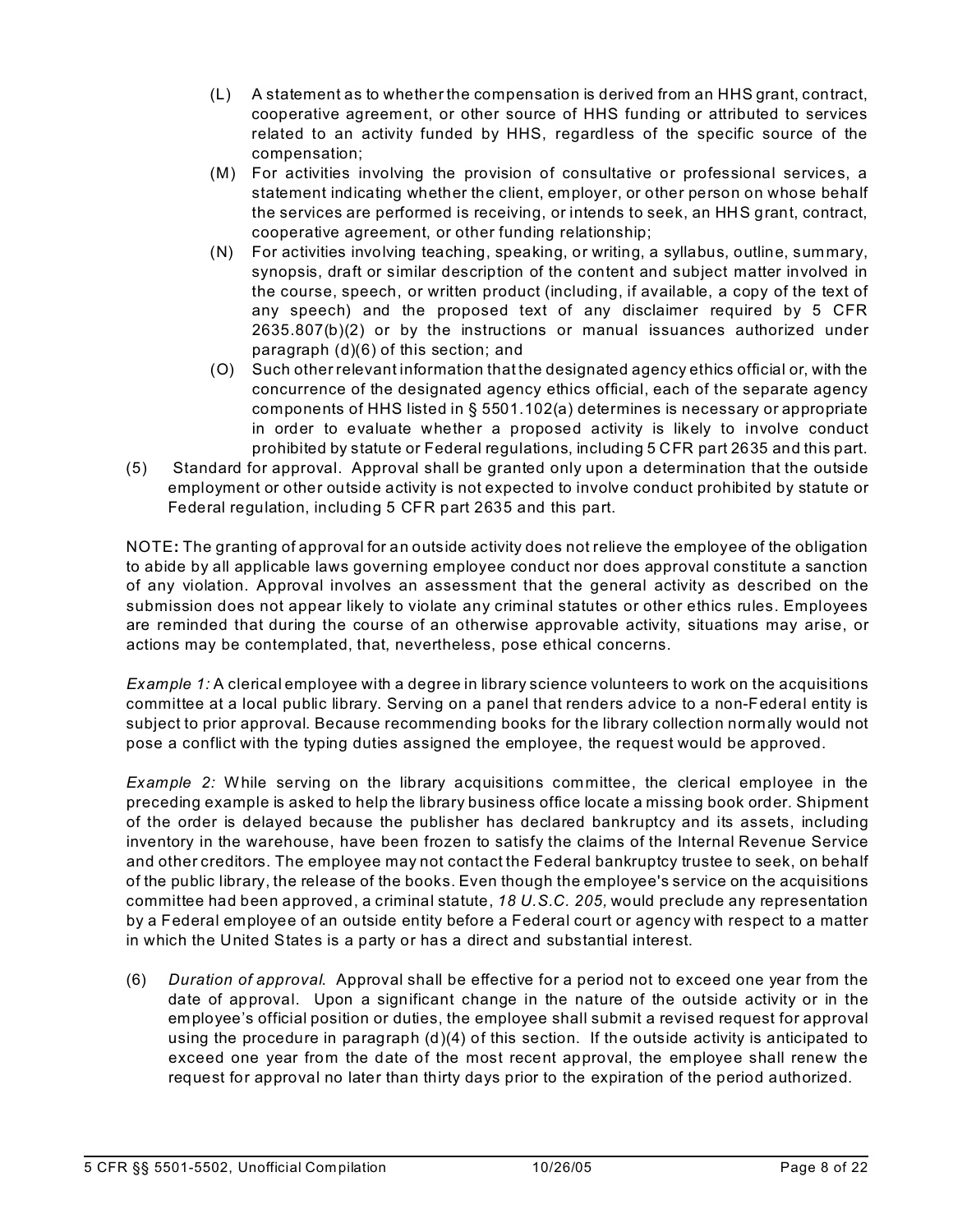- (L) A statement as to whether the compensation is derived from an HHS grant, contract, cooperative agreement, or other source of HHS funding or attributed to services related to an activity funded by HHS, regardless of the specific source of the compensation;
- (M) For activities involving the provision of consultative or professional services, a statement indicating whether the client, employer, or other person on whose behalf the services are performed is receiving, or intends to seek, an HHS grant, contract, cooperative agreement, or other funding relationship;
- (N) For activities involving teaching, speaking, or writing, a syllabus, outline, summary, synopsis, draft or similar description of the content and subject matter involved in the course, speech, or written product (including, if available, a copy of the text of any speech) and the proposed text of any disclaimer required by 5 CFR 2635.807(b)(2) or by the instructions or manual issuances authorized under paragraph (d)(6) of this section; and
- (O) Such other relevant information that the designated agency ethics official or, with the concurrence of the designated agency ethics official, each of the separate agency components of HHS listed in § 5501.102(a) determines is necessary or appropriate in order to evaluate whether a proposed activity is likely to involve conduct prohibited by statute or Federal regulations, including 5 CFR part 2635 and this part.
- (5) Standard for approval. Approval shall be granted only upon a determination that the outside employment or other outside activity is not expected to involve conduct prohibited by statute or Federal regulation, including 5 CFR part 2635 and this part.

NOTE**:** The granting of approval for an outside activity does not relieve the employee of the obligation to abide by all applicable laws governing employee conduct nor does approval constitute a sanction of any violation. Approval involves an assessment that the general activity as described on the submission does not appear likely to violate any criminal statutes or other ethics rules. Employees are reminded that during the course of an otherwise approvable activity, situations may arise, or actions may be contemplated, that, nevertheless, pose ethical concerns.

*Example 1:* A clerical employee with a degree in library science volunteers to work on the acquisitions committee at a local public library. Serving on a panel that renders advice to a non-Federal entity is subject to prior approval. Because recommending books for the library collection normally would not pose a conflict with the typing duties assigned the employee, the request would be approved.

*Example 2:* While serving on the library acquisitions committee, the clerical employee in the preceding example is asked to help the library business office locate a missing book order. Shipment of the order is delayed because the publisher has declared bankruptcy and its assets, including inventory in the warehouse, have been frozen to satisfy the claims of the Internal Revenue Service and other creditors. The employee may not contact the Federal bankruptcy trustee to seek, on behalf of the public library, the release of the books. Even though the employee's service on the acquisitions committee had been approved, a criminal statute, *18 U.S.C. 205,* would preclude any representation by a Federal employee of an outside entity before a Federal court or agency with respect to a matter in which the United States is a party or has a direct and substantial interest.

(6) *Duration of approval*. Approval shall be effective for a period not to exceed one year from the date of approval. Upon a significant change in the nature of the outside activity or in the employee's official position or duties, the employee shall submit a revised request for approval using the procedure in paragraph (d)(4) of this section. If the outside activity is anticipated to exceed one year from the date of the most recent approval, the employee shall renew the request for approval no later than thirty days prior to the expiration of the period authorized.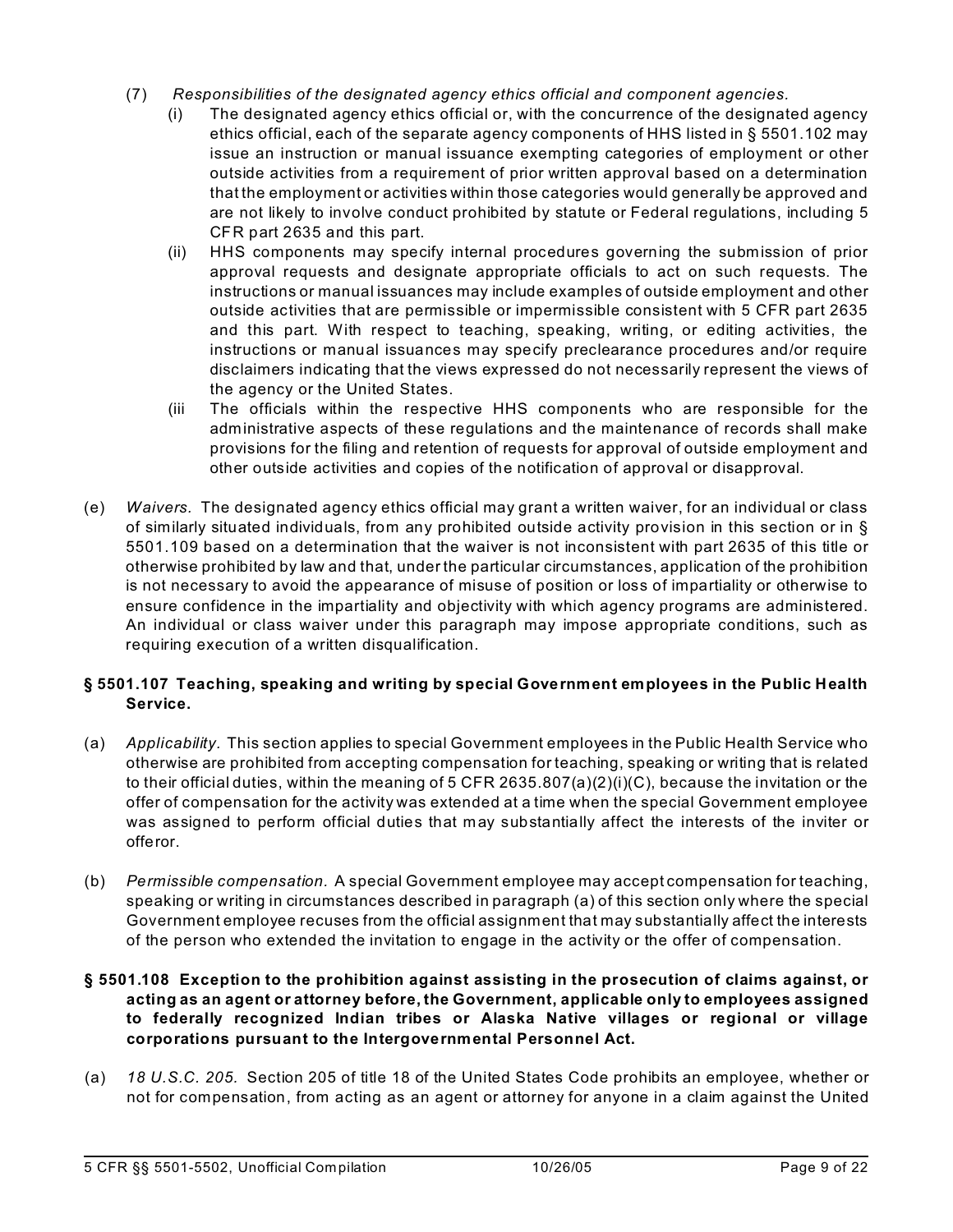- (7)  *Responsibilities of the designated agency ethics official and component agencies.* 
	- (i) The designated agency ethics official or, with the concurrence of the designated agency ethics official, each of the separate agency components of HHS listed in § 5501.102 may issue an instruction or manual issuance exempting categories of employment or other outside activities from a requirement of prior written approval based on a determination that the employment or activities within those categories would generally be approved and are not likely to involve conduct prohibited by statute or Federal regulations, including 5 CFR part 2635 and this part.
	- (ii) HHS components may specify internal procedures governing the submission of prior approval requests and designate appropriate officials to act on such requests. The instructions or manual issuances may include examples of outside employment and other outside activities that are permissible or impermissible consistent with 5 CFR part 2635 and this part. With respect to teaching, speaking, writing, or editing activities, the instructions or manual issuances may specify preclearance procedures and/or require disclaimers indicating that the views expressed do not necessarily represent the views of the agency or the United States.
	- (iii The officials within the respective HHS components who are responsible for the administrative aspects of these regulations and the maintenance of records shall make provisions for the filing and retention of requests for approval of outside employment and other outside activities and copies of the notification of approval or disapproval.
- (e) *Waivers.* The designated agency ethics official may grant a written waiver, for an individual or class of similarly situated individuals, from any prohibited outside activity provision in this section or in § 5501.109 based on a determination that the waiver is not inconsistent with part 2635 of this title or otherwise prohibited by law and that, under the particular circumstances, application of the prohibition is not necessary to avoid the appearance of misuse of position or loss of impartiality or otherwise to ensure confidence in the impartiality and objectivity with which agency programs are administered. An individual or class waiver under this paragraph may impose appropriate conditions, such as requiring execution of a written disqualification.

# **§ 5501.107 Teaching, speaking and writing by special Government employees in the Public Health Service.**

- (a) *Applicability.* This section applies to special Government employees in the Public Health Service who otherwise are prohibited from accepting compensation for teaching, speaking or writing that is related to their official duties, within the meaning of 5 CFR 2635.807(a)(2)(i)(C), because the invitation or the offer of compensation for the activity was extended at a time when the special Government employee was assigned to perform official duties that may substantially affect the interests of the inviter or offeror.
- (b) *Permissible compensation.* A special Government employee may accept compensation for teaching, speaking or writing in circumstances described in paragraph (a) of this section only where the special Government employee recuses from the official assignment that may substantially affect the interests of the person who extended the invitation to engage in the activity or the offer of compensation.

## **§ 5501.108 Exception to the prohibition against assisting in the prosecution of claims against, or acting as an agent or attorney before, the Government, applicable only to employees assigned to federally recognized Indian tribes or Alaska Native villages or regional or village corporations pursuant to the Intergovernmental Personnel Act.**

(a) *18 U.S.C. 205.* Section 205 of title 18 of the United States Code prohibits an employee, whether or not for compensation, from acting as an agent or attorney for anyone in a claim against the United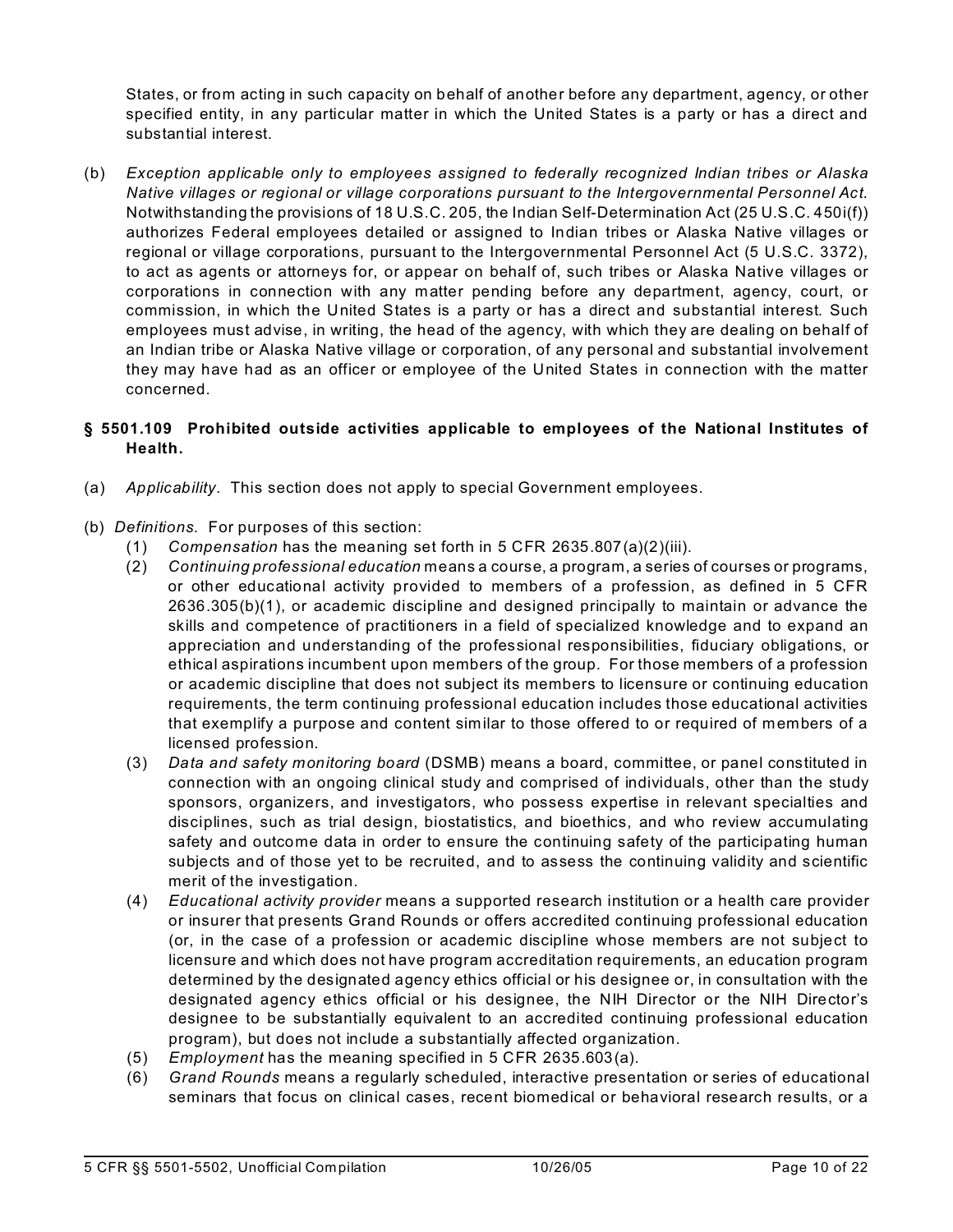States, or from acting in such capacity on behalf of another before any department, agency, or other specified entity, in any particular matter in which the United States is a party or has a direct and substantial interest.

(b) *Exception applicable only to employees assigned to federally recognized Indian tribes or Alaska Native villages or regional or village corporations pursuant to the Intergovernmental Personnel Act.*  Notwithstanding the provisions of 18 U.S.C. 205, the Indian Self-Determination Act (25 U.S.C. 450i(f)) authorizes Federal employees detailed or assigned to Indian tribes or Alaska Native villages or regional or village corporations, pursuant to the Intergovernmental Personnel Act (5 U.S.C. 3372), to act as agents or attorneys for, or appear on behalf of, such tribes or Alaska Native villages or corporations in connection with any matter pending before any department, agency, court, or commission, in which the United States is a party or has a direct and substantial interest. Such employees must advise, in writing, the head of the agency, with which they are dealing on behalf of an Indian tribe or Alaska Native village or corporation, of any personal and substantial involvement they may have had as an officer or employee of the United States in connection with the matter concerned.

## **§ 5501.109 Prohibited outside activities applicable to employees of the National Institutes of Health.**

- (a) *Applicability*. This section does not apply to special Government employees.
- (b) *Definitions*. For purposes of this section:
	- (1) *Compensation* has the meaning set forth in 5 CFR 2635.807(a)(2)(iii).
	- (2) *Continuing professional education* means a course, a program, a series of courses or programs, or other educational activity provided to members of a profession, as defined in 5 CFR 2636.305(b)(1), or academic discipline and designed principally to maintain or advance the skills and competence of practitioners in a field of specialized knowledge and to expand an appreciation and understanding of the professional responsibilities, fiduciary obligations, or ethical aspirations incumbent upon members of the group. For those members of a profession or academic discipline that does not subject its members to licensure or continuing education requirements, the term continuing professional education includes those educational activities that exemplify a purpose and content similar to those offered to or required of members of a licensed profession.
	- (3) *Data and safety monitoring board* (DSMB) means a board, committee, or panel constituted in connection with an ongoing clinical study and comprised of individuals, other than the study sponsors, organizers, and investigators, who possess expertise in relevant specialties and disciplines, such as trial design, biostatistics, and bioethics, and who review accumulating safety and outcome data in order to ensure the continuing safety of the participating human subjects and of those yet to be recruited, and to assess the continuing validity and scientific merit of the investigation.
	- (4) *Educational activity provider* means a supported research institution or a health care provider or insurer that presents Grand Rounds or offers accredited continuing professional education (or, in the case of a profession or academic discipline whose members are not subject to licensure and which does not have program accreditation requirements, an education program determined by the designated agency ethics official or his designee or, in consultation with the designated agency ethics official or his designee, the NIH Director or the NIH Director's designee to be substantially equivalent to an accredited continuing professional education program), but does not include a substantially affected organization.
	- (5) *Employment* has the meaning specified in 5 CFR 2635.603(a).
	- (6) *Grand Rounds* means a regularly scheduled, interactive presentation or series of educational seminars that focus on clinical cases, recent biomedical or behavioral research results, or a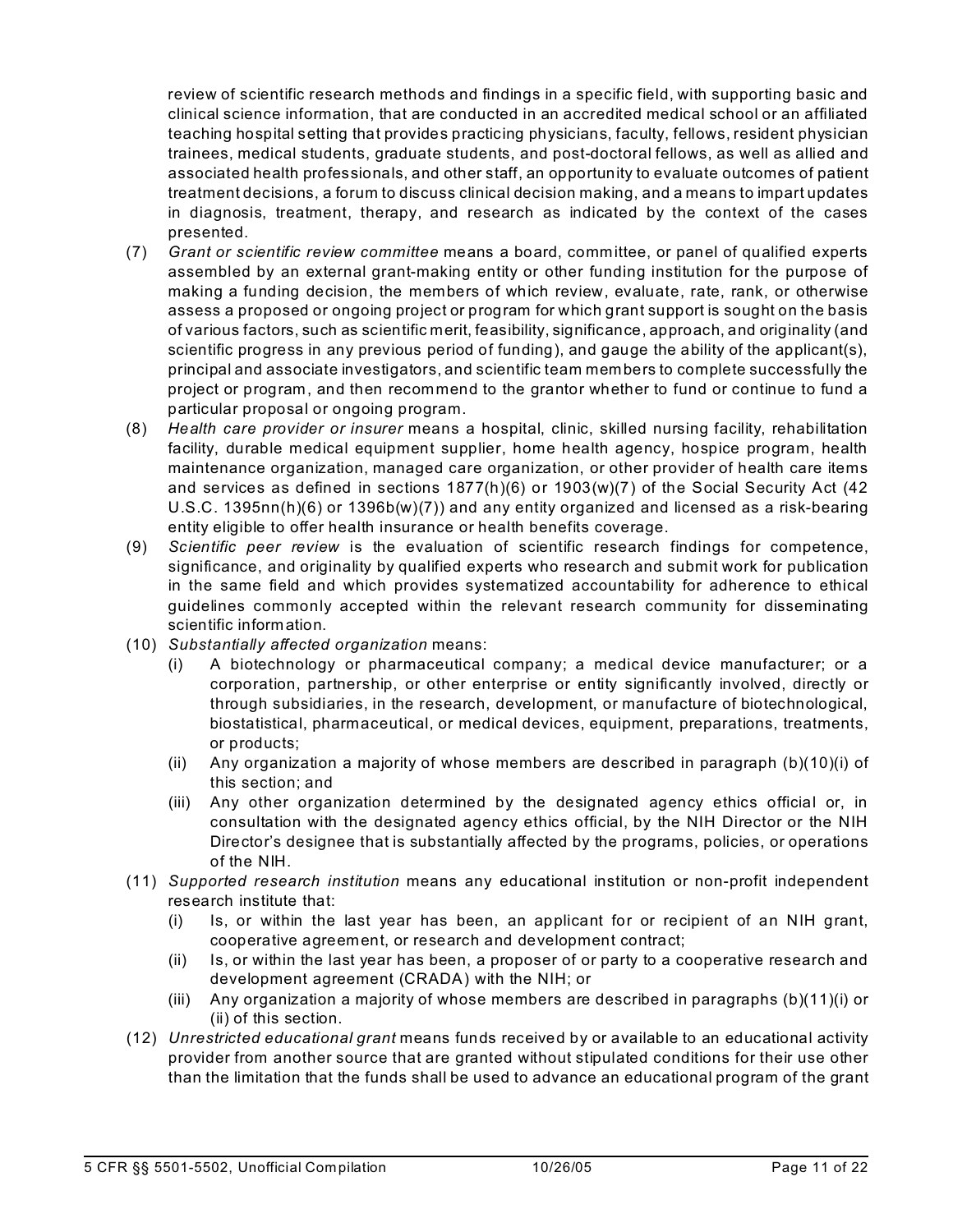review of scientific research methods and findings in a specific field, with supporting basic and clinical science information, that are conducted in an accredited medical school or an affiliated teaching hospital setting that provides practicing physicians, faculty, fellows, resident physician trainees, medical students, graduate students, and post-doctoral fellows, as well as allied and associated health professionals, and other staff, an opportunity to evaluate outcomes of patient treatment decisions, a forum to discuss clinical decision making, and a means to impart updates in diagnosis, treatment, therapy, and research as indicated by the context of the cases presented.

- (7) *Grant or scientific review committee* means a board, committee, or panel of qualified experts assembled by an external grant-making entity or other funding institution for the purpose of making a funding decision, the members of which review, evaluate, rate, rank, or otherwise assess a proposed or ongoing project or program for which grant support is sought on the basis of various factors, such as scientific merit, feasibility, significance, approach, and originality (and scientific progress in any previous period of funding), and gauge the ability of the applicant(s), principal and associate investigators, and scientific team members to complete successfully the project or program, and then recommend to the grantor whether to fund or continue to fund a particular proposal or ongoing program.
- (8) *Health care provider or insurer* means a hospital, clinic, skilled nursing facility, rehabilitation facility, durable medical equipment supplier, home health agency, hospice program, health maintenance organization, managed care organization, or other provider of health care items and services as defined in sections 1877(h)(6) or 1903(w)(7) of the Social Security Act (42 U.S.C. 1395nn(h)(6) or 1396b(w)(7)) and any entity organized and licensed as a risk-bearing entity eligible to offer health insurance or health benefits coverage.
- (9) *Scientific peer review* is the evaluation of scientific research findings for competence, significance, and originality by qualified experts who research and submit work for publication in the same field and which provides systematized accountability for adherence to ethical guidelines commonly accepted within the relevant research community for disseminating scientific information.
- (10) *Substantially affected organization* means:
	- (i) A biotechnology or pharmaceutical company; a medical device manufacturer; or a corporation, partnership, or other enterprise or entity significantly involved, directly or through subsidiaries, in the research, development, or manufacture of biotechnological, biostatistical, pharmaceutical, or medical devices, equipment, preparations, treatments, or products;
	- (ii) Any organization a majority of whose members are described in paragraph  $(b)(10)(i)$  of this section; and
	- (iii) Any other organization determined by the designated agency ethics official or, in consultation with the designated agency ethics official, by the NIH Director or the NIH Director's designee that is substantially affected by the programs, policies, or operations of the NIH.
- (11) *Supported research institution* means any educational institution or non-profit independent research institute that:
	- (i) Is, or within the last year has been, an applicant for or recipient of an NIH grant, cooperative agreement, or research and development contract;
	- (ii) Is, or within the last year has been, a proposer of or party to a cooperative research and development agreement (CRADA) with the NIH; or
	- (iii) Any organization a majority of whose members are described in paragraphs  $(b)(11)(i)$  or (ii) of this section.
- (12) *Unrestricted educational grant* means funds received by or available to an educational activity provider from another source that are granted without stipulated conditions for their use other than the limitation that the funds shall be used to advance an educational program of the grant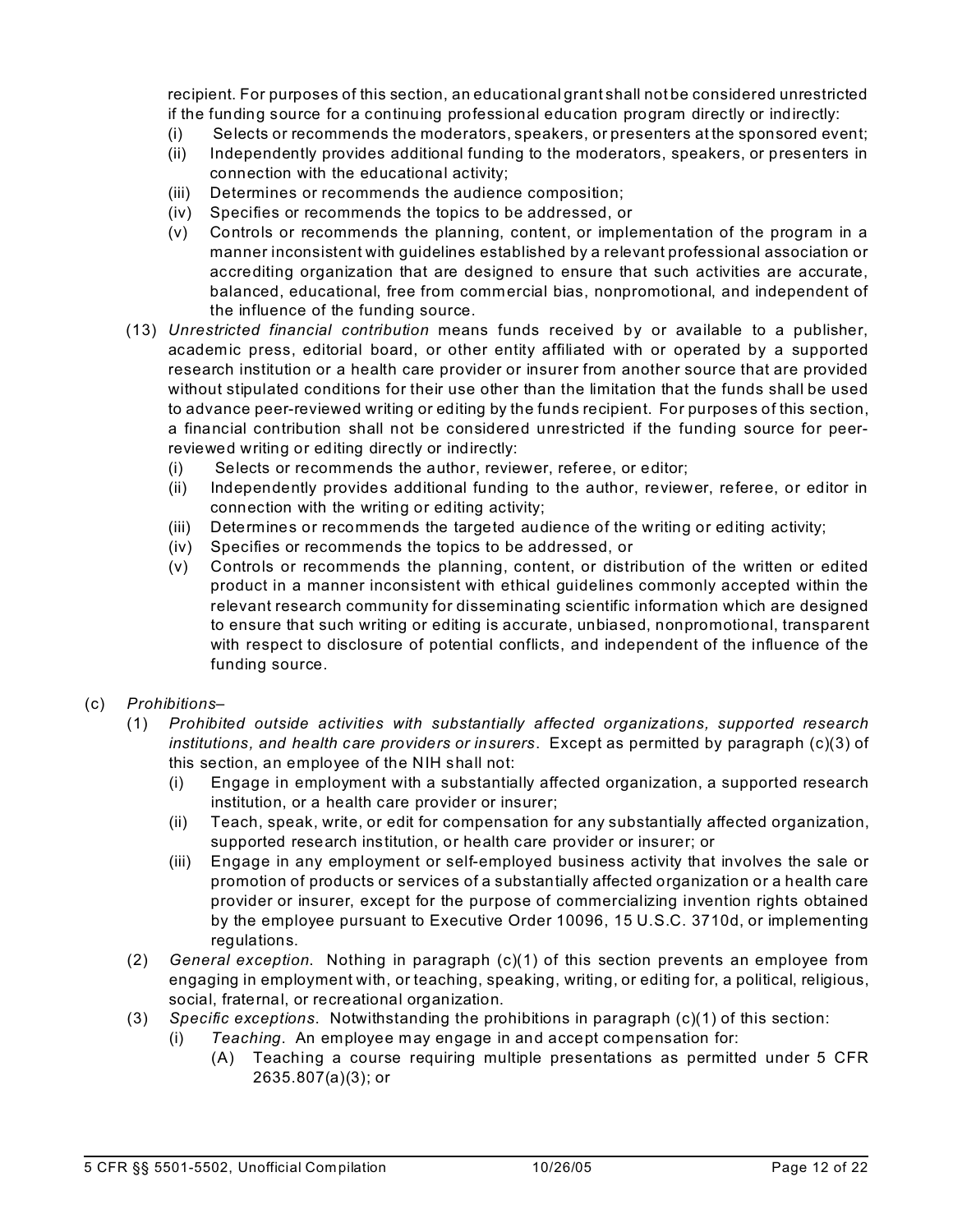recipient. For purposes of this section, an educational grant shall not be considered unrestricted if the funding source for a continuing professional education program directly or indirectly:

- (i) Selects or recommends the moderators, speakers, or presenters at the sponsored event;
- (ii) Independently provides additional funding to the moderators, speakers, or presenters in connection with the educational activity;
- (iii) Determines or recommends the audience composition;
- (iv) Specifies or recommends the topics to be addressed, or
- (v) Controls or recommends the planning, content, or implementation of the program in a manner inconsistent with guidelines established by a relevant professional association or accrediting organization that are designed to ensure that such activities are accurate, balanced, educational, free from commercial bias, nonpromotional, and independent of the influence of the funding source.
- (13) *Unrestricted financial contribution* means funds received by or available to a publisher, academic press, editorial board, or other entity affiliated with or operated by a supported research institution or a health care provider or insurer from another source that are provided without stipulated conditions for their use other than the limitation that the funds shall be used to advance peer-reviewed writing or editing by the funds recipient. For purposes of this section, a financial contribution shall not be considered unrestricted if the funding source for peerreviewed writing or editing directly or indirectly:
	- (i) Selects or recommends the author, reviewer, referee, or editor;
	- (ii) Independently provides additional funding to the author, reviewer, referee, or editor in connection with the writing or editing activity;
	- (iii) Determines or recommends the targeted audience of the writing or editing activity;
	- (iv) Specifies or recommends the topics to be addressed, or
	- (v) Controls or recommends the planning, content, or distribution of the written or edited product in a manner inconsistent with ethical guidelines commonly accepted within the relevant research community for disseminating scientific information which are designed to ensure that such writing or editing is accurate, unbiased, nonpromotional, transparent with respect to disclosure of potential conflicts, and independent of the influence of the funding source.
- (c) *Prohibitions*
	- (1) *Prohibited outside activities with substantially affected organizations, supported research institutions, and health care providers or insurers*. Except as permitted by paragraph (c)(3) of this section, an employee of the NIH shall not:
		- (i) Engage in employment with a substantially affected organization, a supported research institution, or a health care provider or insurer;
		- (ii) Teach, speak, write, or edit for compensation for any substantially affected organization, supported research institution, or health care provider or insurer; or
		- (iii) Engage in any employment or self-employed business activity that involves the sale or promotion of products or services of a substantially affected organization or a health care provider or insurer, except for the purpose of commercializing invention rights obtained by the employee pursuant to Executive Order 10096, 15 U.S.C. 3710d, or implementing regulations.
	- (2) *General exception*. Nothing in paragraph (c)(1) of this section prevents an employee from engaging in employment with, or teaching, speaking, writing, or editing for, a political, religious, social, fraternal, or recreational organization.
	- (3) *Specific exceptions*. Notwithstanding the prohibitions in paragraph (c)(1) of this section:
		- (i) *Teaching*. An employee may engage in and accept compensation for:
			- (A) Teaching a course requiring multiple presentations as permitted under 5 CFR 2635.807(a)(3); or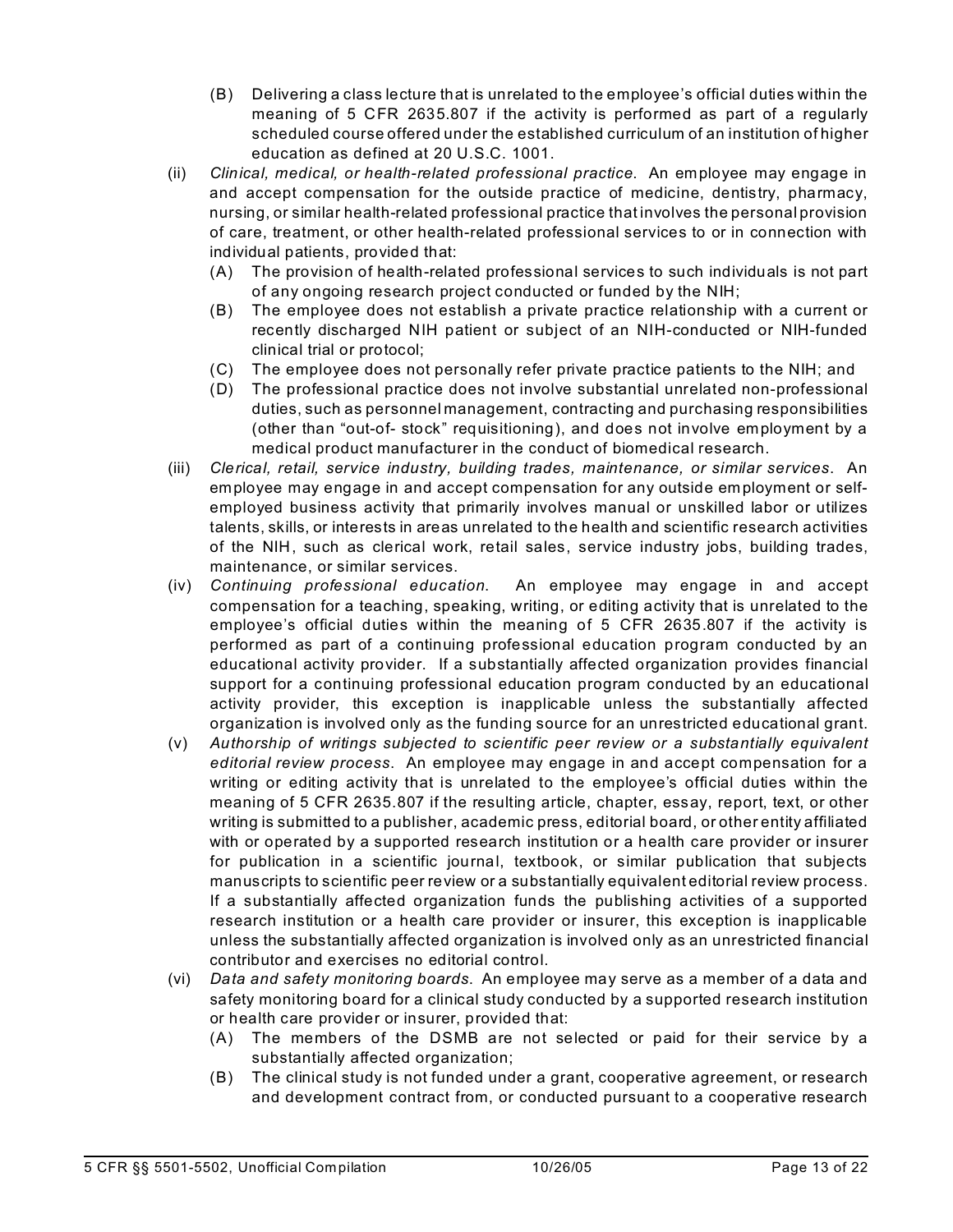- (B) Delivering a class lecture that is unrelated to the employee's official duties within the meaning of 5 CFR 2635.807 if the activity is performed as part of a regularly scheduled course offered under the established curriculum of an institution of higher education as defined at 20 U.S.C. 1001.
- (ii) *Clinical, medical, or health-related professional practice*. An employee may engage in and accept compensation for the outside practice of medicine, dentistry, pharmacy, nursing, or similar health-related professional practice that involves the personal provision of care, treatment, or other health-related professional services to or in connection with individual patients, provided that:
	- (A) The provision of health-related professional services to such individuals is not part of any ongoing research project conducted or funded by the NIH;
	- (B) The employee does not establish a private practice relationship with a current or recently discharged NIH patient or subject of an NIH-conducted or NIH-funded clinical trial or protocol;
	- (C) The employee does not personally refer private practice patients to the NIH; and
	- (D) The professional practice does not involve substantial unrelated non-professional duties, such as personnel management, contracting and purchasing responsibilities (other than "out-of- stock" requisitioning), and does not involve employment by a medical product manufacturer in the conduct of biomedical research.
- (iii) *Clerical, retail, service industry, building trades, maintenance, or similar services*. An employee may engage in and accept compensation for any outside employment or selfemployed business activity that primarily involves manual or unskilled labor or utilizes talents, skills, or interests in areas unrelated to the health and scientific research activities of the NIH, such as clerical work, retail sales, service industry jobs, building trades, maintenance, or similar services.
- (iv) *Continuing professional education*. An employee may engage in and accept compensation for a teaching, speaking, writing, or editing activity that is unrelated to the employee's official duties within the meaning of 5 CFR 2635.807 if the activity is performed as part of a continuing professional education program conducted by an educational activity provider. If a substantially affected organization provides financial support for a continuing professional education program conducted by an educational activity provider, this exception is inapplicable unless the substantially affected organization is involved only as the funding source for an unrestricted educational grant.
- (v) *Authorship of writings subjected to scientific peer review or a substantially equivalent editorial review process*. An employee may engage in and accept compensation for a writing or editing activity that is unrelated to the employee's official duties within the meaning of 5 CFR 2635.807 if the resulting article, chapter, essay, report, text, or other writing is submitted to a publisher, academic press, editorial board, or other entity affiliated with or operated by a supported research institution or a health care provider or insurer for publication in a scientific journal, textbook, or similar publication that subjects manuscripts to scientific peer review or a substantially equivalent editorial review process. If a substantially affected organization funds the publishing activities of a supported research institution or a health care provider or insurer, this exception is inapplicable unless the substantially affected organization is involved only as an unrestricted financial contributor and exercises no editorial control.
- (vi) *Data and safety monitoring boards*. An employee may serve as a member of a data and safety monitoring board for a clinical study conducted by a supported research institution or health care provider or insurer, provided that:
	- (A) The members of the DSMB are not selected or paid for their service by a substantially affected organization;
	- (B) The clinical study is not funded under a grant, cooperative agreement, or research and development contract from, or conducted pursuant to a cooperative research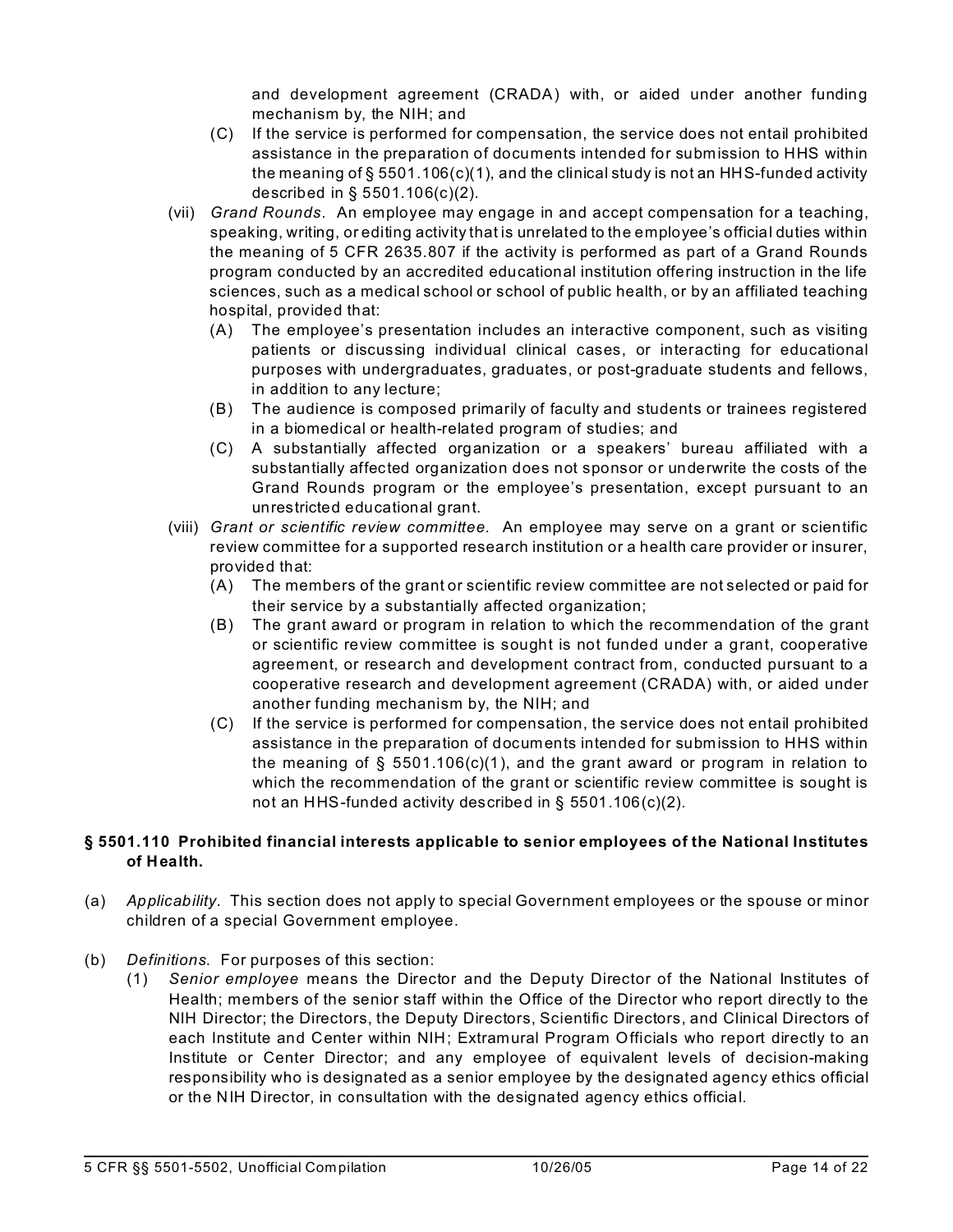and development agreement (CRADA) with, or aided under another funding mechanism by, the NIH; and

- (C) If the service is performed for compensation, the service does not entail prohibited assistance in the preparation of documents intended for submission to HHS within the meaning of § 5501.106(c)(1), and the clinical study is not an HHS-funded activity described in § 5501.106(c)(2).
- (vii) *Grand Rounds*. An employee may engage in and accept compensation for a teaching, speaking, writing, or editing activity that is unrelated to the employee's official duties within the meaning of 5 CFR 2635.807 if the activity is performed as part of a Grand Rounds program conducted by an accredited educational institution offering instruction in the life sciences, such as a medical school or school of public health, or by an affiliated teaching hospital, provided that:
	- (A) The employee's presentation includes an interactive component, such as visiting patients or discussing individual clinical cases, or interacting for educational purposes with undergraduates, graduates, or post-graduate students and fellows, in addition to any lecture;
	- (B) The audience is composed primarily of faculty and students or trainees registered in a biomedical or health-related program of studies; and
	- (C) A substantially affected organization or a speakers' bureau affiliated with a substantially affected organization does not sponsor or underwrite the costs of the Grand Rounds program or the employee's presentation, except pursuant to an unrestricted educational grant.
- (viii) *Grant or scientific review committee*. An employee may serve on a grant or scientific review committee for a supported research institution or a health care provider or insurer, provided that:
	- (A) The members of the grant or scientific review committee are not selected or paid for their service by a substantially affected organization;
	- (B) The grant award or program in relation to which the recommendation of the grant or scientific review committee is sought is not funded under a grant, cooperative agreement, or research and development contract from, conducted pursuant to a cooperative research and development agreement (CRADA) with, or aided under another funding mechanism by, the NIH; and
	- (C) If the service is performed for compensation, the service does not entail prohibited assistance in the preparation of documents intended for submission to HHS within the meaning of  $\S$  5501.106(c)(1), and the grant award or program in relation to which the recommendation of the grant or scientific review committee is sought is not an HHS-funded activity described in § 5501.106(c)(2).

### **§ 5501.110 Prohibited financial interests applicable to senior employees of the National Institutes of Health.**

- (a) *Applicability*. This section does not apply to special Government employees or the spouse or minor children of a special Government employee.
- (b) *Definitions*. For purposes of this section:
	- (1) *Senior employee* means the Director and the Deputy Director of the National Institutes of Health; members of the senior staff within the Office of the Director who report directly to the NIH Director; the Directors, the Deputy Directors, Scientific Directors, and Clinical Directors of each Institute and Center within NIH; Extramural Program Officials who report directly to an Institute or Center Director; and any employee of equivalent levels of decision-making responsibility who is designated as a senior employee by the designated agency ethics official or the NIH Director, in consultation with the designated agency ethics official.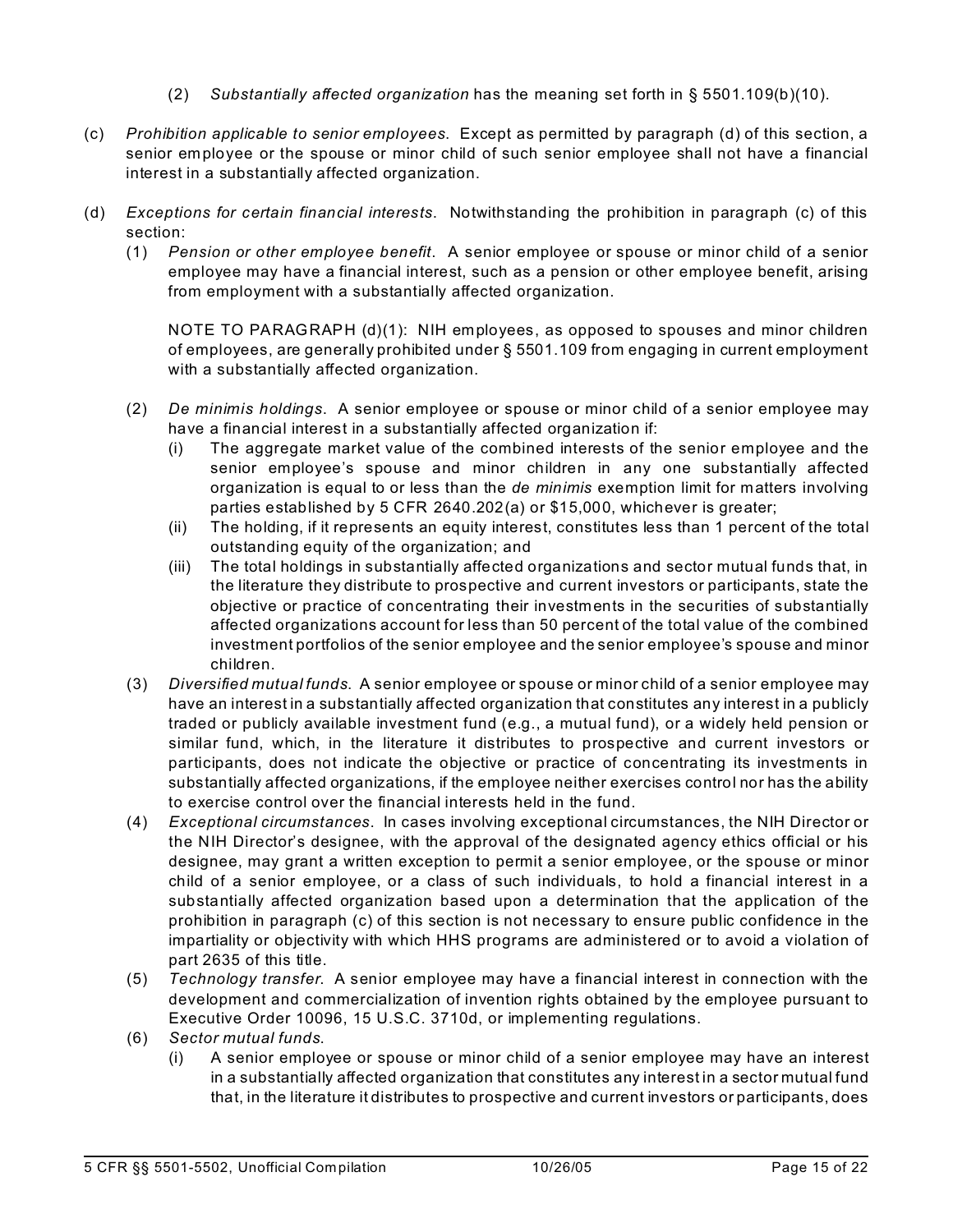- (2) *Substantially affected organization* has the meaning set forth in § 5501.109(b)(10).
- (c) *Prohibition applicable to senior employees*. Except as permitted by paragraph (d) of this section, a senior employee or the spouse or minor child of such senior employee shall not have a financial interest in a substantially affected organization.
- (d) *Exceptions for certain financial interests*. Notwithstanding the prohibition in paragraph (c) of this section:
	- (1) *Pension or other employee benefit*. A senior employee or spouse or minor child of a senior employee may have a financial interest, such as a pension or other employee benefit, arising from employment with a substantially affected organization.

NOTE TO PARAGRAPH (d)(1): NIH employees, as opposed to spouses and minor children of employees, are generally prohibited under § 5501.109 from engaging in current employment with a substantially affected organization.

- (2) *De minimis holdings*. A senior employee or spouse or minor child of a senior employee may have a financial interest in a substantially affected organization if:
	- (i) The aggregate market value of the combined interests of the senior employee and the senior employee's spouse and minor children in any one substantially affected organization is equal to or less than the *de minimis* exemption limit for matters involving parties established by 5 CFR 2640.202(a) or \$15,000, whichever is greater;
	- (ii) The holding, if it represents an equity interest, constitutes less than 1 percent of the total outstanding equity of the organization; and
	- (iii) The total holdings in substantially affected organizations and sector mutual funds that, in the literature they distribute to prospective and current investors or participants, state the objective or practice of concentrating their investments in the securities of substantially affected organizations account for less than 50 percent of the total value of the combined investment portfolios of the senior employee and the senior employee's spouse and minor children.
- (3) *Diversified mutual funds*. A senior employee or spouse or minor child of a senior employee may have an interest in a substantially affected organization that constitutes any interest in a publicly traded or publicly available investment fund (e.g., a mutual fund), or a widely held pension or similar fund, which, in the literature it distributes to prospective and current investors or participants, does not indicate the objective or practice of concentrating its investments in substantially affected organizations, if the employee neither exercises control nor has the ability to exercise control over the financial interests held in the fund.
- (4) *Exceptional circumstances*. In cases involving exceptional circumstances, the NIH Director or the NIH Director's designee, with the approval of the designated agency ethics official or his designee, may grant a written exception to permit a senior employee, or the spouse or minor child of a senior employee, or a class of such individuals, to hold a financial interest in a substantially affected organization based upon a determination that the application of the prohibition in paragraph (c) of this section is not necessary to ensure public confidence in the impartiality or objectivity with which HHS programs are administered or to avoid a violation of part 2635 of this title.
- (5) *Technology transfer*. A senior employee may have a financial interest in connection with the development and commercialization of invention rights obtained by the employee pursuant to Executive Order 10096, 15 U.S.C. 3710d, or implementing regulations.
- (6) *Sector mutual funds*.
	- (i) A senior employee or spouse or minor child of a senior employee may have an interest in a substantially affected organization that constitutes any interest in a sector mutual fund that, in the literature it distributes to prospective and current investors or participants, does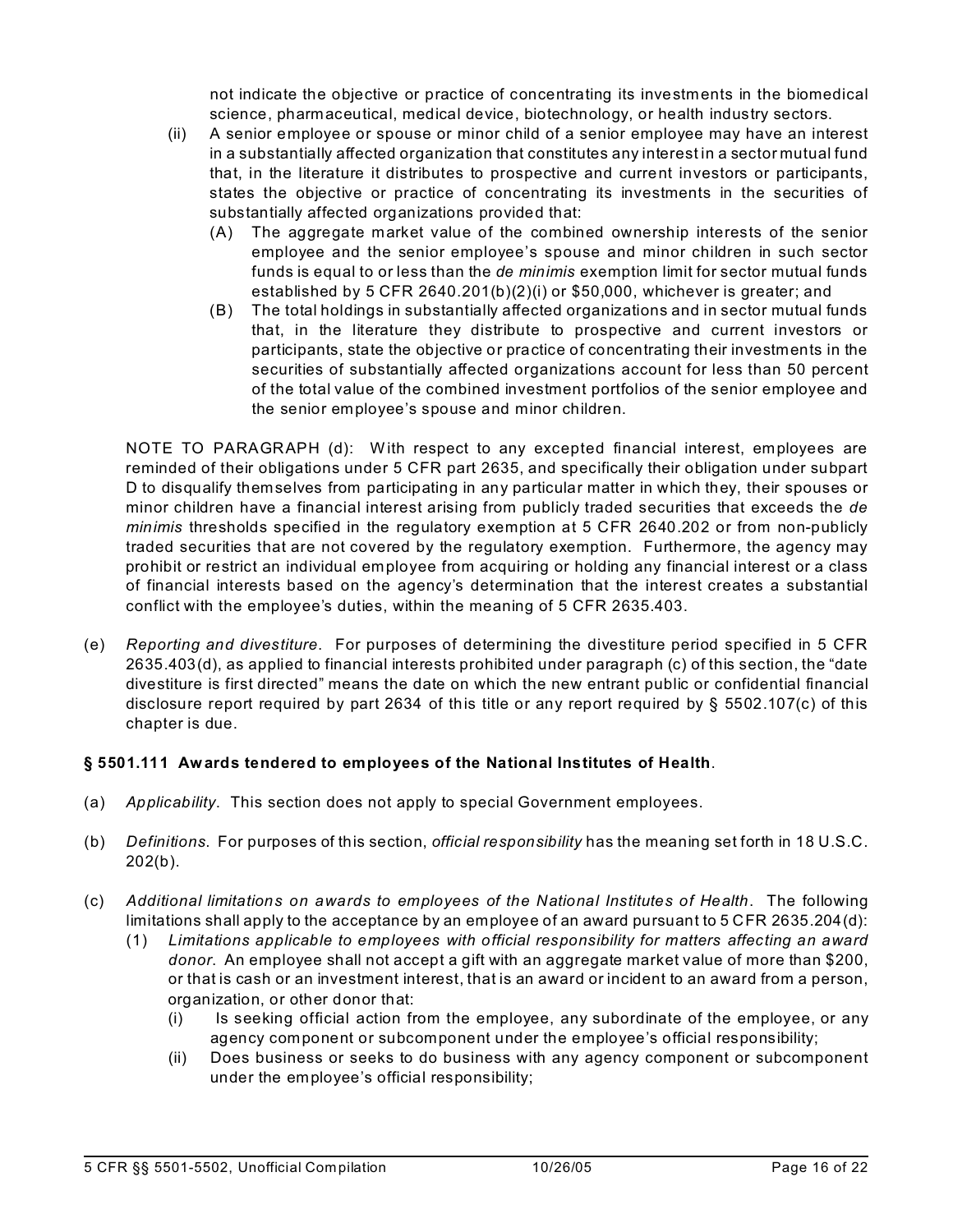not indicate the objective or practice of concentrating its investments in the biomedical science, pharmaceutical, medical device, biotechnology, or health industry sectors.

- (ii) A senior employee or spouse or minor child of a senior employee may have an interest in a substantially affected organization that constitutes any interest in a sector mutual fund that, in the literature it distributes to prospective and current investors or participants, states the objective or practice of concentrating its investments in the securities of substantially affected organizations provided that:
	- (A) The aggregate market value of the combined ownership interests of the senior employee and the senior employee's spouse and minor children in such sector funds is equal to or less than the *de minimis* exemption limit for sector mutual funds established by 5 CFR 2640.201(b)(2)(i) or \$50,000, whichever is greater; and
	- (B) The total holdings in substantially affected organizations and in sector mutual funds that, in the literature they distribute to prospective and current investors or participants, state the objective or practice of concentrating their investments in the securities of substantially affected organizations account for less than 50 percent of the total value of the combined investment portfolios of the senior employee and the senior employee's spouse and minor children.

NOTE TO PARAGRAPH (d): With respect to any excepted financial interest, employees are reminded of their obligations under 5 CFR part 2635, and specifically their obligation under subpart D to disqualify themselves from participating in any particular matter in which they, their spouses or minor children have a financial interest arising from publicly traded securities that exceeds the *de minimis* thresholds specified in the regulatory exemption at 5 CFR 2640.202 or from non-publicly traded securities that are not covered by the regulatory exemption. Furthermore, the agency may prohibit or restrict an individual employee from acquiring or holding any financial interest or a class of financial interests based on the agency's determination that the interest creates a substantial conflict with the employee's duties, within the meaning of 5 CFR 2635.403.

(e) *Reporting and divestiture*. For purposes of determining the divestiture period specified in 5 CFR 2635.403(d), as applied to financial interests prohibited under paragraph (c) of this section, the "date divestiture is first directed" means the date on which the new entrant public or confidential financial disclosure report required by part 2634 of this title or any report required by § 5502.107(c) of this chapter is due.

## **§ 5501.111 Awards tendered to employees of the National Institutes of Health**.

- (a) *Applicability*. This section does not apply to special Government employees.
- (b) *Definitions*. For purposes of this section, *official responsibility* has the meaning set forth in 18 U.S.C.  $202(b)$ .
- (c) *Additional limitations on awards to employees of the National Institutes of Health*. The following limitations shall apply to the acceptance by an employee of an award pursuant to 5 CFR 2635.204(d):
	- (1) *Limitations applicable to employees with official responsibility for matters affecting an award donor*. An employee shall not accept a gift with an aggregate market value of more than \$200, or that is cash or an investment interest, that is an award or incident to an award from a person, organization, or other donor that:
		- (i) Is seeking official action from the employee, any subordinate of the employee, or any agency component or subcomponent under the employee's official responsibility;
		- (ii) Does business or seeks to do business with any agency component or subcomponent under the employee's official responsibility;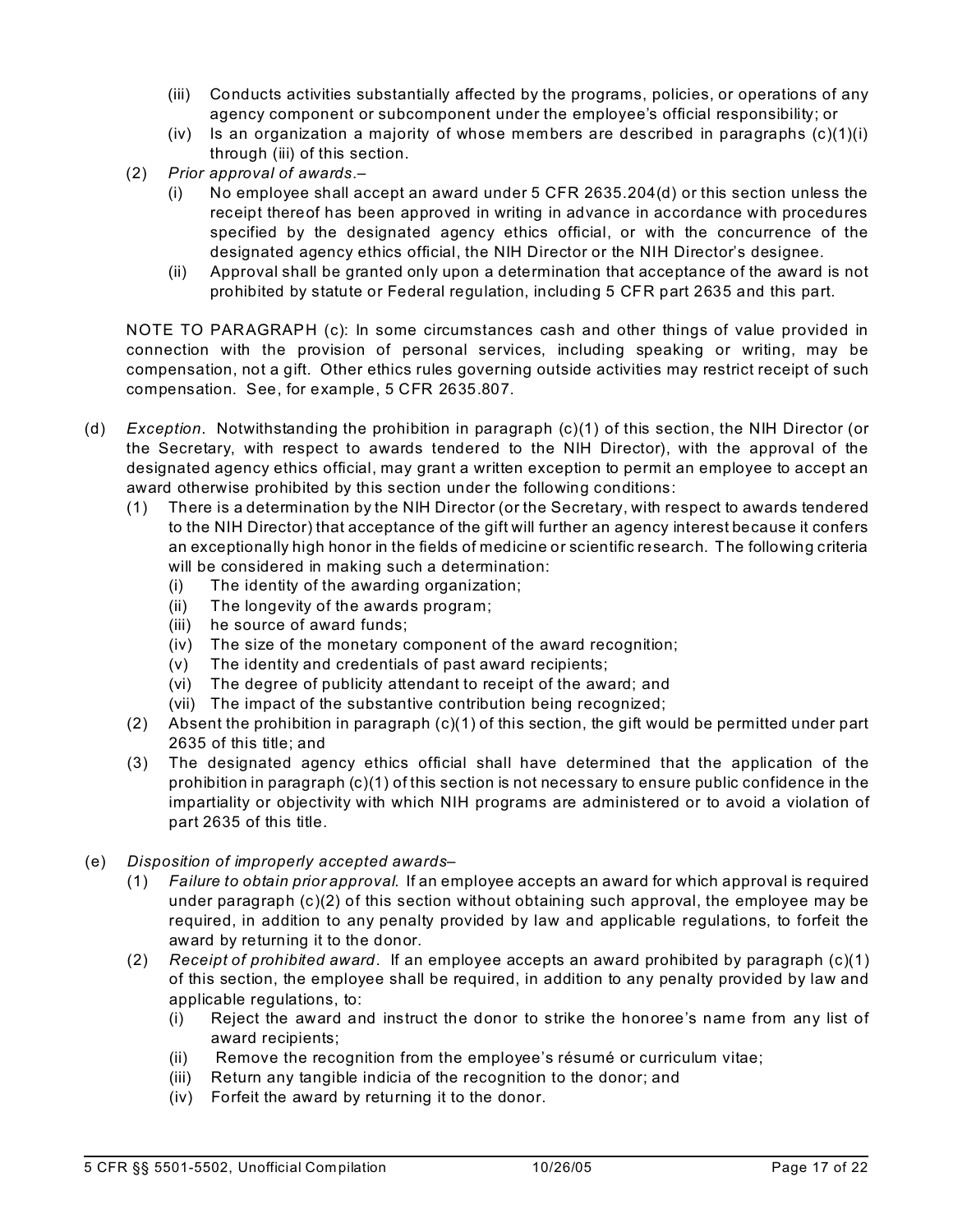- (iii) Conducts activities substantially affected by the programs, policies, or operations of any agency component or subcomponent under the employee's official responsibility; or
- (iv) Is an organization a majority of whose members are described in paragraphs  $(c)(1)(i)$ through (iii) of this section.
- (2) *Prior approval of awards*.–
	- (i) No employee shall accept an award under  $5$  CFR 2635.204(d) or this section unless the receipt thereof has been approved in writing in advance in accordance with procedures specified by the designated agency ethics official, or with the concurrence of the designated agency ethics official, the NIH Director or the NIH Director's designee.
	- (ii) Approval shall be granted only upon a determination that acceptance of the award is not prohibited by statute or Federal regulation, including 5 CFR part 2635 and this part.

NOTE TO PARAGRAPH (c): In some circumstances cash and other things of value provided in connection with the provision of personal services, including speaking or writing, may be compensation, not a gift. Other ethics rules governing outside activities may restrict receipt of such compensation. See, for example, 5 CFR 2635.807.

- (d) *Exception*. Notwithstanding the prohibition in paragraph (c)(1) of this section, the NIH Director (or the Secretary, with respect to awards tendered to the NIH Director), with the approval of the designated agency ethics official, may grant a written exception to permit an employee to accept an award otherwise prohibited by this section under the following conditions:
	- (1) There is a determination by the NIH Director (or the Secretary, with respect to awards tendered to the NIH Director) that acceptance of the gift will further an agency interest because it confers an exceptionally high honor in the fields of medicine or scientific research. The following criteria will be considered in making such a determination:
		- (i) The identity of the awarding organization;
		- (ii) The longevity of the awards program;
		- (iii) he source of award funds;
		- $(iv)$  The size of the monetary component of the award recognition;
		- $(v)$  The identity and credentials of past award recipients;
		- (vi) The degree of publicity attendant to receipt of the award; and
		- (vii) The impact of the substantive contribution being recognized;
	- (2) Absent the prohibition in paragraph (c)(1) of this section, the gift would be permitted under part 2635 of this title; and
	- (3) The designated agency ethics official shall have determined that the application of the prohibition in paragraph (c)(1) of this section is not necessary to ensure public confidence in the impartiality or objectivity with which NIH programs are administered or to avoid a violation of part 2635 of this title.
- (e) *Disposition of improperly accepted awards*
	- (1) *Failure to obtain prior approval*. If an employee accepts an award for which approval is required under paragraph (c)(2) of this section without obtaining such approval, the employee may be required, in addition to any penalty provided by law and applicable regulations, to forfeit the award by returning it to the donor.
	- (2) *Receipt of prohibited award*. If an employee accepts an award prohibited by paragraph (c)(1) of this section, the employee shall be required, in addition to any penalty provided by law and applicable regulations, to:
		- (i) Reject the award and instruct the donor to strike the honoree's name from any list of award recipients;
		- (ii) Remove the recognition from the employee's résumé or curriculum vitae;
		- (iii) Return any tangible indicia of the recognition to the donor; and
		- (iv) Forfeit the award by returning it to the donor.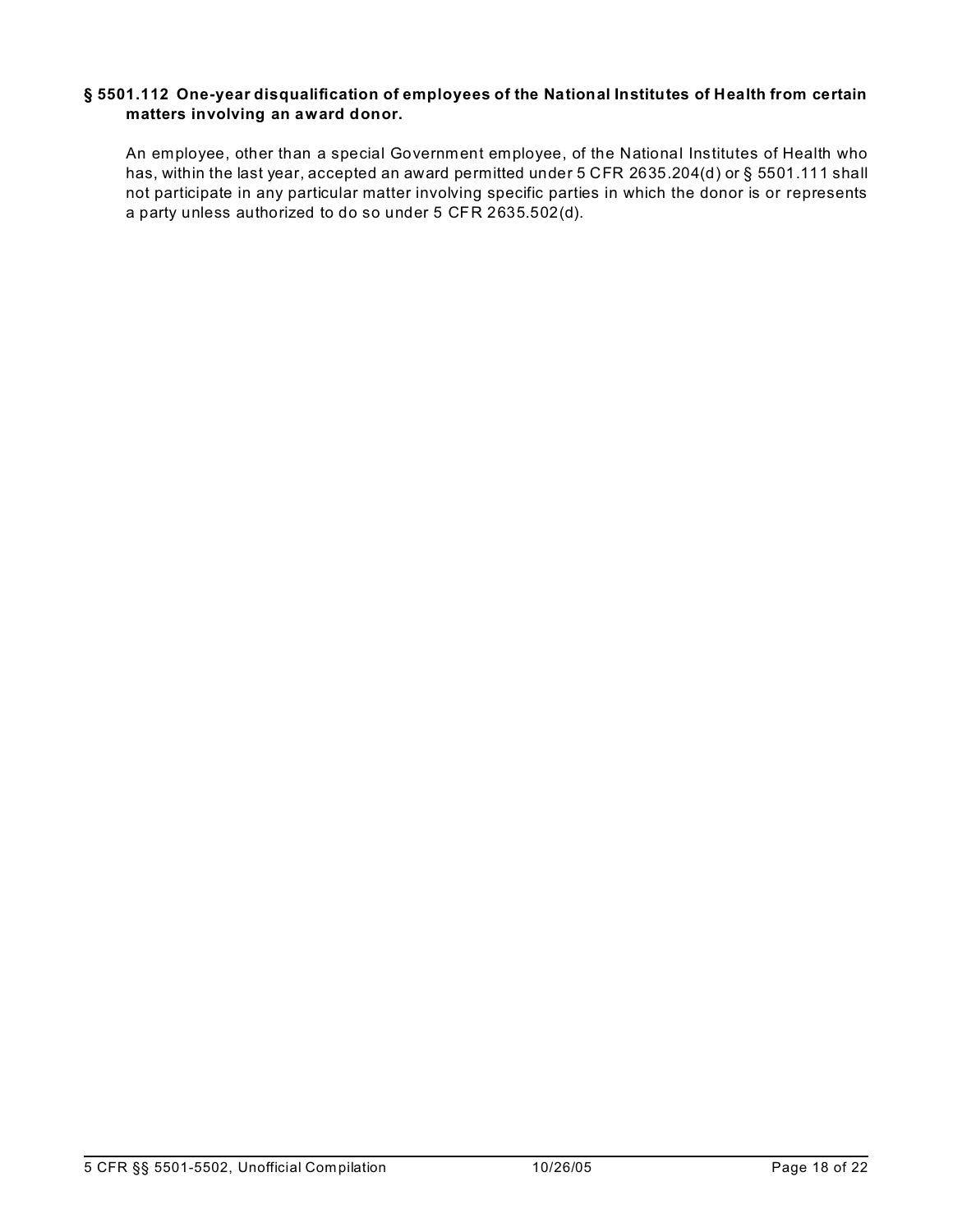#### **§ 5501.112 One-year disqualification of employees of the National Institutes of Health from certain matters involving an award donor.**

An employee, other than a special Government employee, of the National Institutes of Health who has, within the last year, accepted an award permitted under 5 CFR 2635.204(d) or § 5501.111 shall not participate in any particular matter involving specific parties in which the donor is or represents a party unless authorized to do so under 5 CFR 2635.502(d).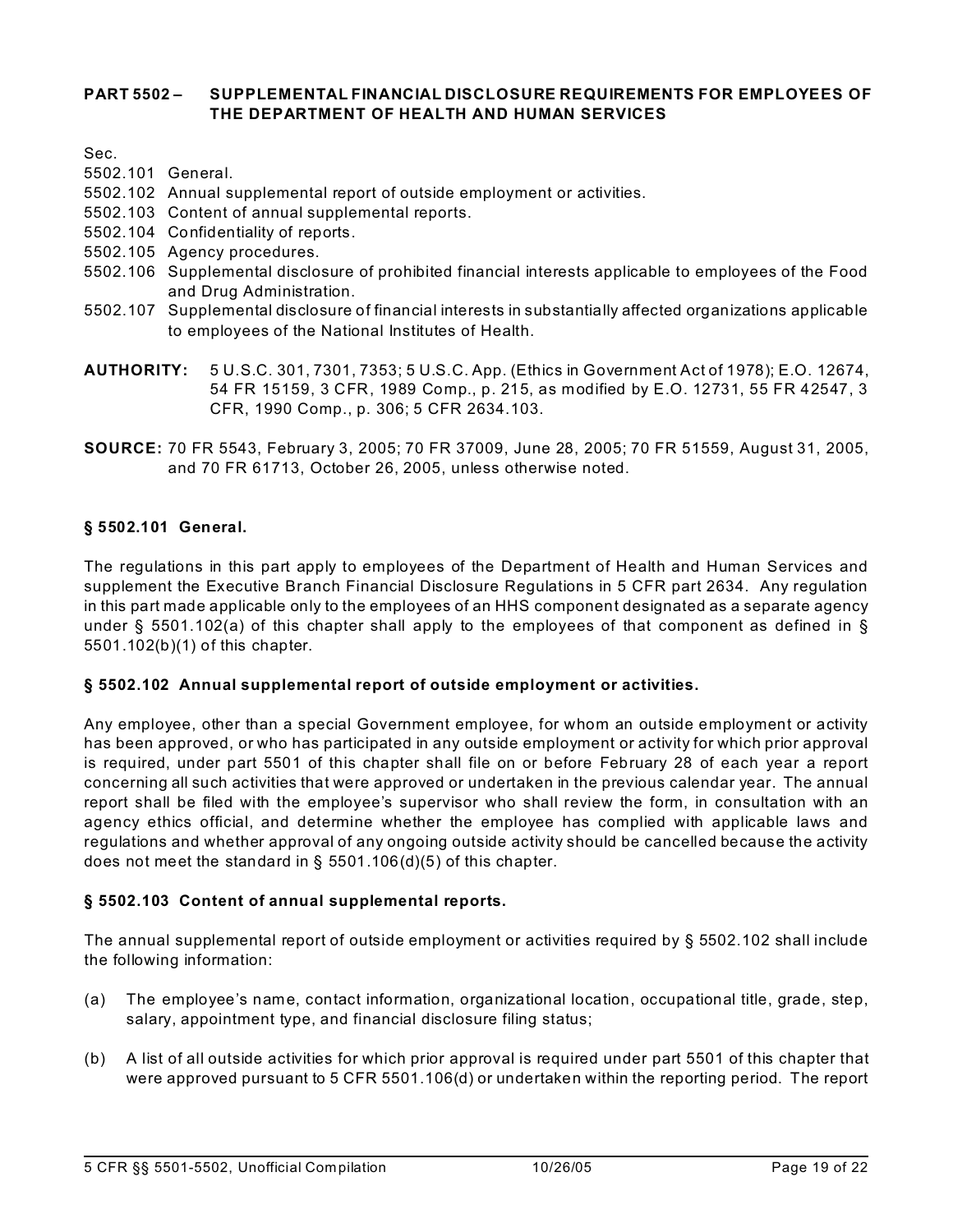#### **PART 5502 – SUPPLEMENTAL FINANCIAL DISCLOSURE REQUIREMENTS FOR EMPLOYEES OF THE DEPARTMENT OF HEALTH AND HUMAN SERVICES**

Sec.

- 5502.101 General.
- 5502.102 Annual supplemental report of outside employment or activities.
- 5502.103 Content of annual supplemental reports.
- 5502.104 Confidentiality of reports.
- 5502.105 Agency procedures.
- 5502.106 Supplemental disclosure of prohibited financial interests applicable to employees of the Food and Drug Administration.
- 5502.107 Supplemental disclosure of financial interests in substantially affected organizations applicable to employees of the National Institutes of Health.
- **AUTHORITY:** 5 U.S.C. 301, 7301, 7353; 5 U.S.C. App. (Ethics in Government Act of 1978); E.O. 12674, 54 FR 15159, 3 CFR, 1989 Comp., p. 215, as modified by E.O. 12731, 55 FR 42547, 3 CFR, 1990 Comp., p. 306; 5 CFR 2634.103.
- **SOURCE:** 70 FR 5543, February 3, 2005; 70 FR 37009, June 28, 2005; 70 FR 51559, August 31, 2005, and 70 FR 61713, October 26, 2005, unless otherwise noted.

#### **§ 5502.101 General.**

The regulations in this part apply to employees of the Department of Health and Human Services and supplement the Executive Branch Financial Disclosure Regulations in 5 CFR part 2634. Any regulation in this part made applicable only to the employees of an HHS component designated as a separate agency under § 5501.102(a) of this chapter shall apply to the employees of that component as defined in § 5501.102(b)(1) of this chapter.

#### **§ 5502.102 Annual supplemental report of outside employment or activities.**

Any employee, other than a special Government employee, for whom an outside employment or activity has been approved, or who has participated in any outside employment or activity for which prior approval is required, under part 5501 of this chapter shall file on or before February 28 of each year a report concerning all such activities that were approved or undertaken in the previous calendar year. The annual report shall be filed with the employee's supervisor who shall review the form, in consultation with an agency ethics official, and determine whether the employee has complied with applicable laws and regulations and whether approval of any ongoing outside activity should be cancelled because the activity does not meet the standard in § 5501.106(d)(5) of this chapter.

#### **§ 5502.103 Content of annual supplemental reports.**

The annual supplemental report of outside employment or activities required by § 5502.102 shall include the following information:

- (a) The employee's name, contact information, organizational location, occupational title, grade, step, salary, appointment type, and financial disclosure filing status;
- (b) A list of all outside activities for which prior approval is required under part 5501 of this chapter that were approved pursuant to 5 CFR 5501.106(d) or undertaken within the reporting period. The report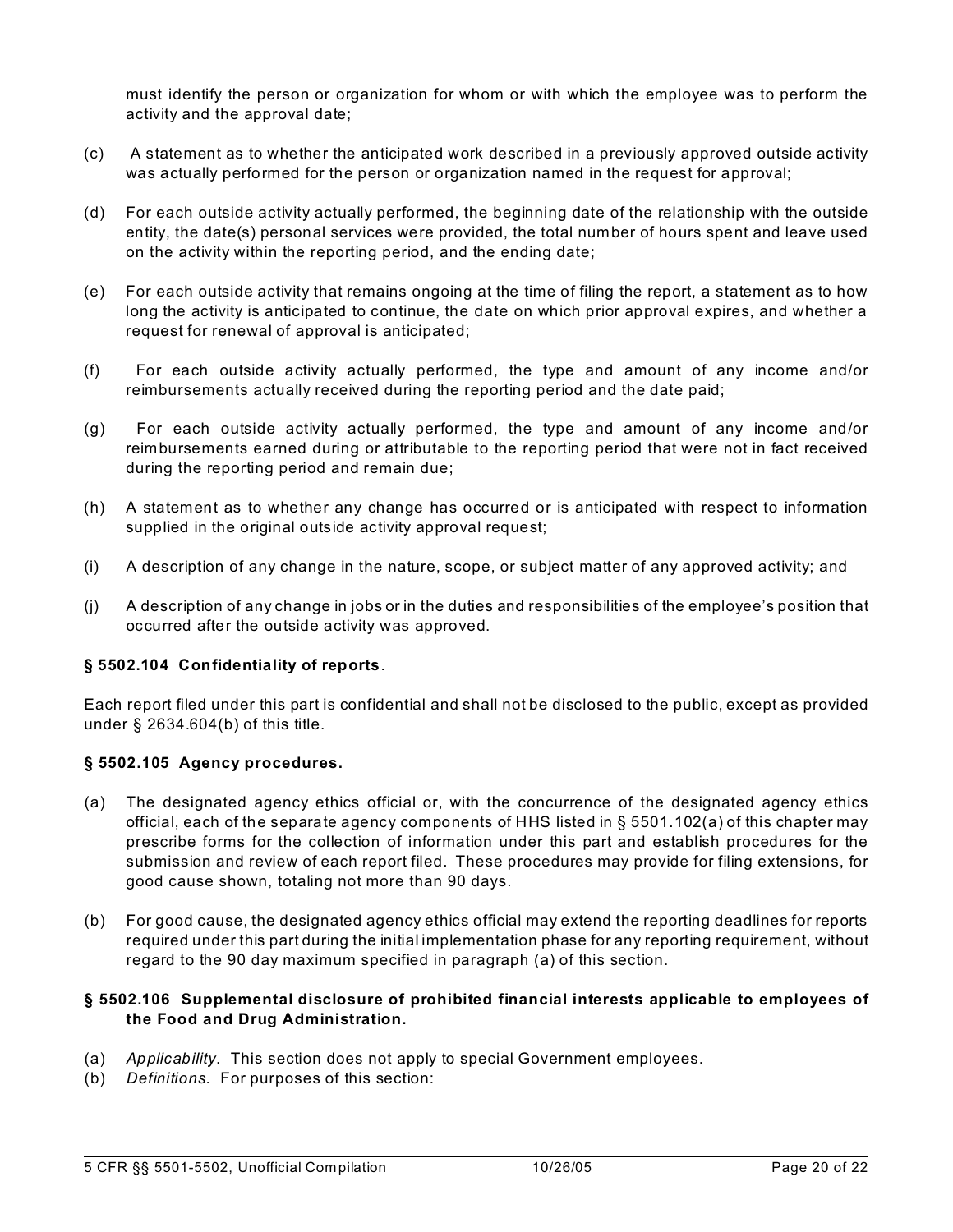must identify the person or organization for whom or with which the employee was to perform the activity and the approval date;

- (c) A statement as to whether the anticipated work described in a previously approved outside activity was actually performed for the person or organization named in the request for approval;
- (d) For each outside activity actually performed, the beginning date of the relationship with the outside entity, the date(s) personal services were provided, the total number of hours spent and leave used on the activity within the reporting period, and the ending date;
- (e) For each outside activity that remains ongoing at the time of filing the report, a statement as to how long the activity is anticipated to continue, the date on which prior approval expires, and whether a request for renewal of approval is anticipated;
- (f) For each outside activity actually performed, the type and amount of any income and/or reimbursements actually received during the reporting period and the date paid;
- (g) For each outside activity actually performed, the type and amount of any income and/or reimbursements earned during or attributable to the reporting period that were not in fact received during the reporting period and remain due;
- (h) A statement as to whether any change has occurred or is anticipated with respect to information supplied in the original outside activity approval request;
- (i) A description of any change in the nature, scope, or subject matter of any approved activity; and
- (j) A description of any change in jobs or in the duties and responsibilities of the employee's position that occurred after the outside activity was approved.

#### **§ 5502.104 Confidentiality of reports**.

Each report filed under this part is confidential and shall not be disclosed to the public, except as provided under § 2634.604(b) of this title.

#### **§ 5502.105 Agency procedures.**

- (a) The designated agency ethics official or, with the concurrence of the designated agency ethics official, each of the separate agency components of HHS listed in § 5501.102(a) of this chapter may prescribe forms for the collection of information under this part and establish procedures for the submission and review of each report filed. These procedures may provide for filing extensions, for good cause shown, totaling not more than 90 days.
- (b) For good cause, the designated agency ethics official may extend the reporting deadlines for reports required under this part during the initial implementation phase for any reporting requirement, without regard to the 90 day maximum specified in paragraph (a) of this section.

#### **§ 5502.106 Supplemental disclosure of prohibited financial interests applicable to employees of the Food and Drug Administration.**

- (a) *Applicability*. This section does not apply to special Government employees.
- (b) *Definitions*. For purposes of this section: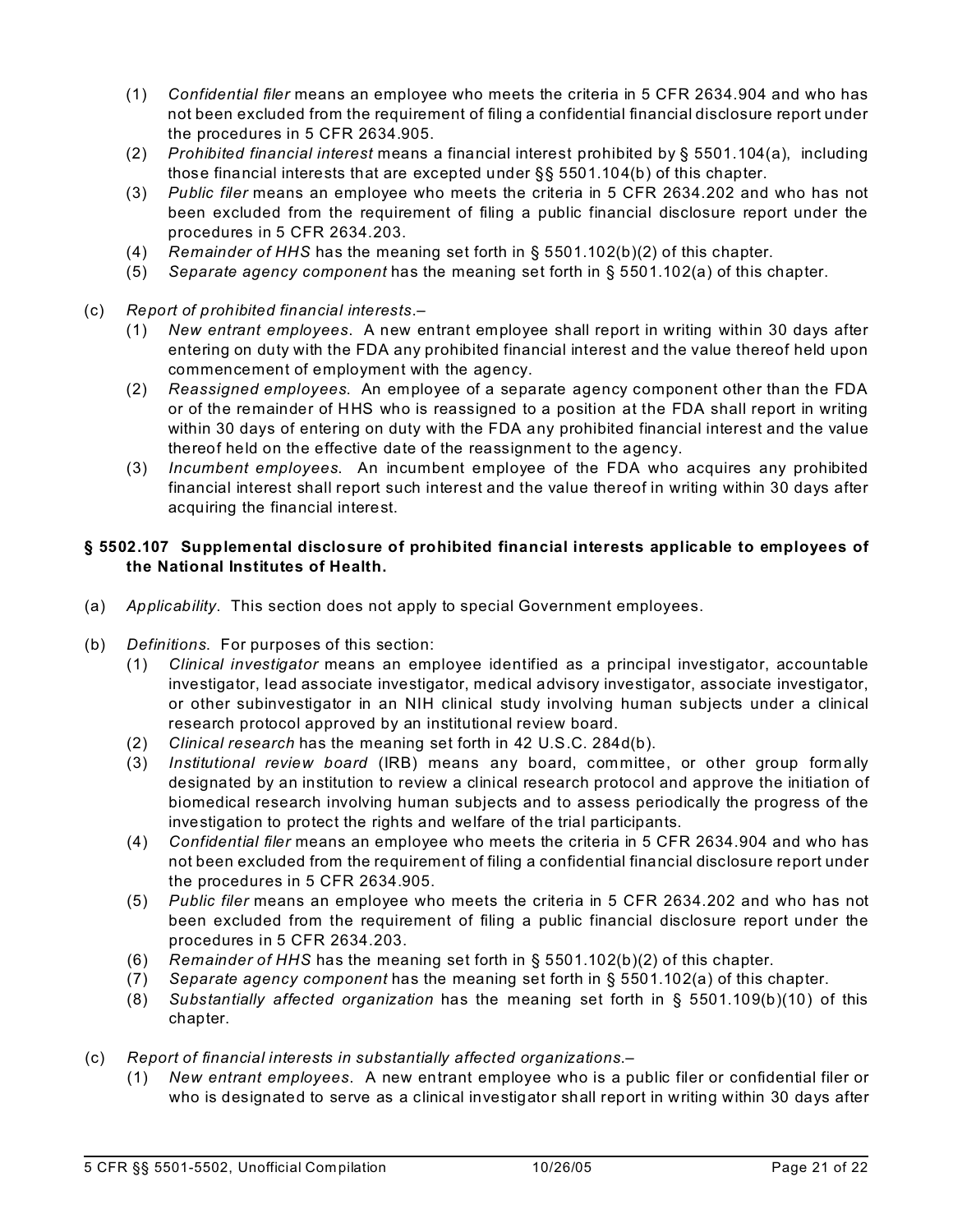- (1) *Confidential filer* means an employee who meets the criteria in 5 CFR 2634.904 and who has not been excluded from the requirement of filing a confidential financial disclosure report under the procedures in 5 CFR 2634.905.
- (2) *Prohibited financial interest* means a financial interest prohibited by § 5501.104(a), including those financial interests that are excepted under §§ 5501.104(b) of this chapter.
- (3) *Public filer* means an employee who meets the criteria in 5 CFR 2634.202 and who has not been excluded from the requirement of filing a public financial disclosure report under the procedures in 5 CFR 2634.203.
- (4) *Remainder of HHS* has the meaning set forth in § 5501.102(b)(2) of this chapter.
- (5) *Separate agency component* has the meaning set forth in § 5501.102(a) of this chapter.
- (c) *Report of prohibited financial interests*.–
	- (1) *New entrant employees*. A new entrant employee shall report in writing within 30 days after entering on duty with the FDA any prohibited financial interest and the value thereof held upon commencement of employment with the agency.
	- (2) *Reassigned employees*. An employee of a separate agency component other than the FDA or of the remainder of HHS who is reassigned to a position at the FDA shall report in writing within 30 days of entering on duty with the FDA any prohibited financial interest and the value thereof held on the effective date of the reassignment to the agency.
	- (3) *Incumbent employees*. An incumbent employee of the FDA who acquires any prohibited financial interest shall report such interest and the value thereof in writing within 30 days after acquiring the financial interest.

### **§ 5502.107 Supplemental disclosure of prohibited financial interests applicable to employees of the National Institutes of Health.**

- (a) *Applicability*. This section does not apply to special Government employees.
- (b) *Definitions*. For purposes of this section:
	- (1) *Clinical investigator* means an employee identified as a principal investigator, accountable investigator, lead associate investigator, medical advisory investigator, associate investigator, or other subinvestigator in an NIH clinical study involving human subjects under a clinical research protocol approved by an institutional review board.
	- (2) *Clinical research* has the meaning set forth in 42 U.S.C. 284d(b).
	- (3) *Institutional review board* (IRB) means any board, committee, or other group formally designated by an institution to review a clinical research protocol and approve the initiation of biomedical research involving human subjects and to assess periodically the progress of the investigation to protect the rights and welfare of the trial participants.
	- (4) *Confidential filer* means an employee who meets the criteria in 5 CFR 2634.904 and who has not been excluded from the requirement of filing a confidential financial disclosure report under the procedures in 5 CFR 2634.905.
	- (5) *Public filer* means an employee who meets the criteria in 5 CFR 2634.202 and who has not been excluded from the requirement of filing a public financial disclosure report under the procedures in 5 CFR 2634.203.
	- (6) *Remainder of HHS* has the meaning set forth in § 5501.102(b)(2) of this chapter.
	- (7) *Separate agency component* has the meaning set forth in § 5501.102(a) of this chapter.
	- (8) *Substantially affected organization* has the meaning set forth in § 5501.109(b)(10) of this chapter.
- (c) *Report of financial interests in substantially affected organizations*.–
	- (1) *New entrant employees*. A new entrant employee who is a public filer or confidential filer or who is designated to serve as a clinical investigator shall report in writing within 30 days after